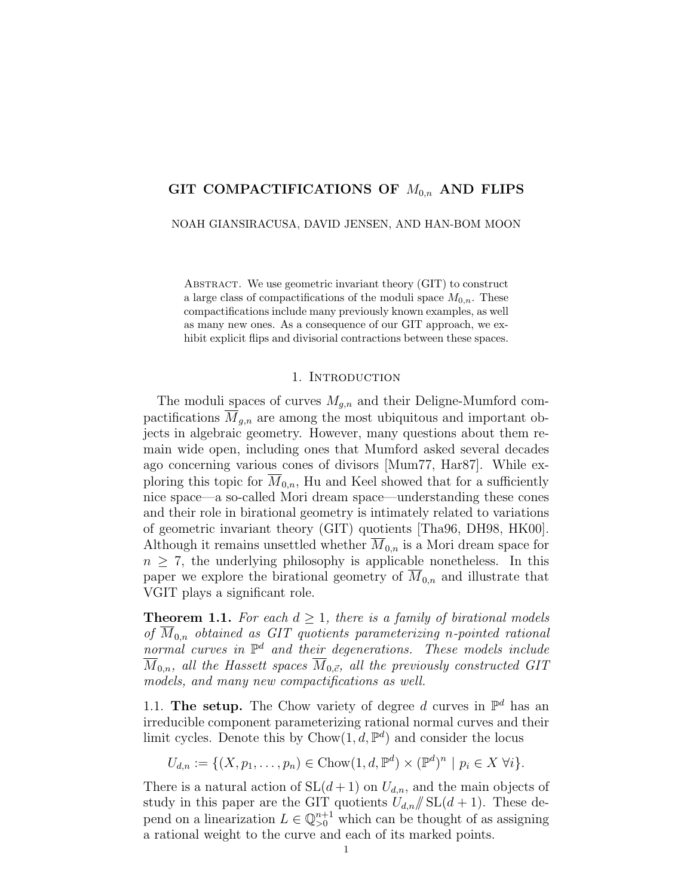# GIT COMPACTIFICATIONS OF  $M_{0,n}$  AND FLIPS

NOAH GIANSIRACUSA, DAVID JENSEN, AND HAN-BOM MOON

ABSTRACT. We use geometric invariant theory (GIT) to construct a large class of compactifications of the moduli space  $M_{0,n}$ . These compactifications include many previously known examples, as well as many new ones. As a consequence of our GIT approach, we exhibit explicit flips and divisorial contractions between these spaces.

## 1. INTRODUCTION

The moduli spaces of curves  $M_{g,n}$  and their Deligne-Mumford compactifications  $\overline{M}_{q,n}$  are among the most ubiquitous and important objects in algebraic geometry. However, many questions about them remain wide open, including ones that Mumford asked several decades ago concerning various cones of divisors [Mum77, Har87]. While exploring this topic for  $M_{0,n}$ , Hu and Keel showed that for a sufficiently nice space—a so-called Mori dream space—understanding these cones and their role in birational geometry is intimately related to variations of geometric invariant theory (GIT) quotients [Tha96, DH98, HK00]. Although it remains unsettled whether  $M_{0,n}$  is a Mori dream space for  $n \geq 7$ , the underlying philosophy is applicable nonetheless. In this paper we explore the birational geometry of  $M_{0,n}$  and illustrate that VGIT plays a significant role.

**Theorem 1.1.** For each  $d \geq 1$ , there is a family of birational models of  $M_{0,n}$  obtained as GIT quotients parameterizing n-pointed rational normal curves in  $\mathbb{P}^d$  and their degenerations. These models include  $\overline{M}_{0,n}$ , all the Hassett spaces  $\overline{M}_{0,\vec{c}}$ , all the previously constructed GIT models, and many new compactifications as well.

1.1. The setup. The Chow variety of degree d curves in  $\mathbb{P}^d$  has an irreducible component parameterizing rational normal curves and their limit cycles. Denote this by  $Chow(1, d, \mathbb{P}^d)$  and consider the locus

$$
U_{d,n} := \{ (X, p_1, \dots, p_n) \in \text{Chow}(1, d, \mathbb{P}^d) \times (\mathbb{P}^d)^n \mid p_i \in X \ \forall i \}.
$$

There is a natural action of  $SL(d+1)$  on  $U_{d,n}$ , and the main objects of study in this paper are the GIT quotients  $U_{d,n}/\!\!/ \mathrm{SL}(d+1)$ . These depend on a linearization  $L \in \mathbb{Q}_{>0}^{n+1}$  which can be thought of as assigning a rational weight to the curve and each of its marked points.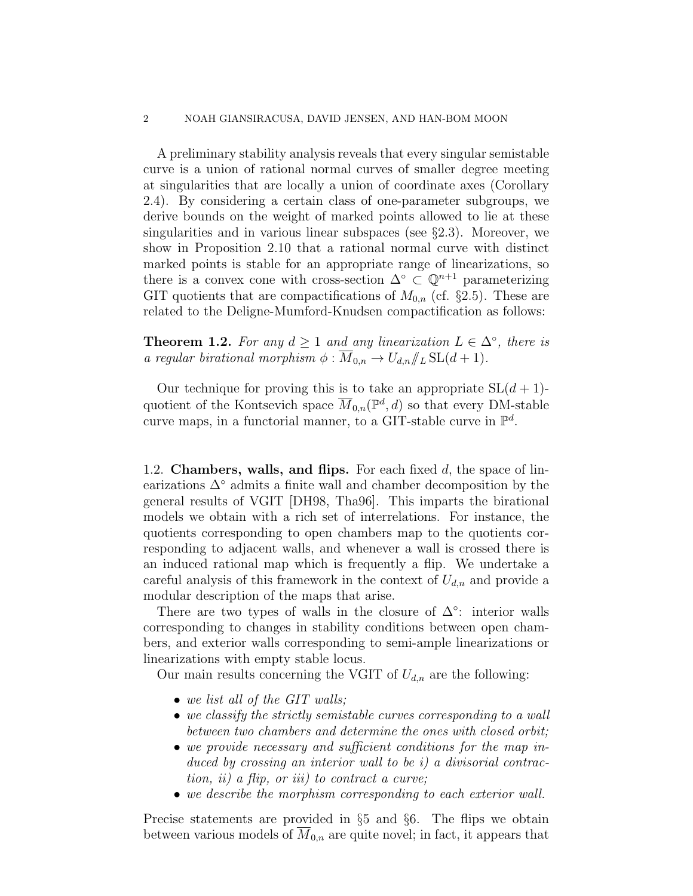A preliminary stability analysis reveals that every singular semistable curve is a union of rational normal curves of smaller degree meeting at singularities that are locally a union of coordinate axes (Corollary 2.4). By considering a certain class of one-parameter subgroups, we derive bounds on the weight of marked points allowed to lie at these singularities and in various linear subspaces (see §2.3). Moreover, we show in Proposition 2.10 that a rational normal curve with distinct marked points is stable for an appropriate range of linearizations, so there is a convex cone with cross-section  $\Delta^{\circ} \subset \mathbb{Q}^{n+1}$  parameterizing GIT quotients that are compactifications of  $M_{0,n}$  (cf. §2.5). These are related to the Deligne-Mumford-Knudsen compactification as follows:

**Theorem 1.2.** For any  $d \ge 1$  and any linearization  $L \in \Delta^{\circ}$ , there is a regular birational morphism  $\phi : \overline{M}_{0,n} \to U_{d,n}/\!\!/_{L} \text{SL}(d+1)$ .

Our technique for proving this is to take an appropriate  $SL(d+1)$ quotient of the Kontsevich space  $\overline{M}_{0,n}(\mathbb{P}^d,d)$  so that every DM-stable curve maps, in a functorial manner, to a GIT-stable curve in  $\mathbb{P}^d$ .

1.2. **Chambers, walls, and flips.** For each fixed  $d$ , the space of linearizations  $\Delta^{\circ}$  admits a finite wall and chamber decomposition by the general results of VGIT [DH98, Tha96]. This imparts the birational models we obtain with a rich set of interrelations. For instance, the quotients corresponding to open chambers map to the quotients corresponding to adjacent walls, and whenever a wall is crossed there is an induced rational map which is frequently a flip. We undertake a careful analysis of this framework in the context of  $U_{d,n}$  and provide a modular description of the maps that arise.

There are two types of walls in the closure of  $\Delta^{\circ}$ : interior walls corresponding to changes in stability conditions between open chambers, and exterior walls corresponding to semi-ample linearizations or linearizations with empty stable locus.

Our main results concerning the VGIT of  $U_{d,n}$  are the following:

- we list all of the GIT walls;
- we classify the strictly semistable curves corresponding to a wall between two chambers and determine the ones with closed orbit;
- we provide necessary and sufficient conditions for the map induced by crossing an interior wall to be i) a divisorial contraction, ii) a flip, or iii) to contract a curve;
- we describe the morphism corresponding to each exterior wall.

Precise statements are provided in §5 and §6. The flips we obtain between various models of  $M_{0,n}$  are quite novel; in fact, it appears that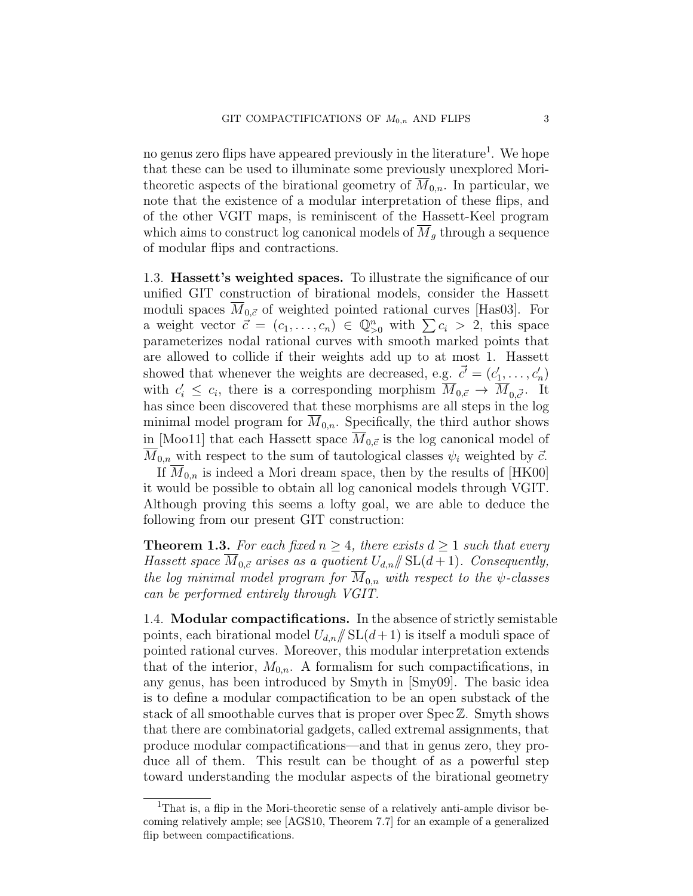no genus zero flips have appeared previously in the literature<sup>1</sup>. We hope that these can be used to illuminate some previously unexplored Moritheoretic aspects of the birational geometry of  $M_{0,n}$ . In particular, we note that the existence of a modular interpretation of these flips, and of the other VGIT maps, is reminiscent of the Hassett-Keel program which aims to construct log canonical models of  $M_q$  through a sequence of modular flips and contractions.

1.3. Hassett's weighted spaces. To illustrate the significance of our unified GIT construction of birational models, consider the Hassett moduli spaces  $\overline{M}_{0,\vec{c}}$  of weighted pointed rational curves [Has03]. For a weight vector  $\vec{c} = (c_1, \ldots, c_n) \in \mathbb{Q}_{>0}^n$  with  $\sum c_i > 2$ , this space parameterizes nodal rational curves with smooth marked points that are allowed to collide if their weights add up to at most 1. Hassett showed that whenever the weights are decreased, e.g.  $\vec{c} = (c'_1, \ldots, c'_n)$ with  $c_i' \leq c_i$ , there is a corresponding morphism  $\overline{M}_{0,\vec{c}} \to \overline{M}_{0,\vec{c}}$ . It has since been discovered that these morphisms are all steps in the log minimal model program for  $M_{0,n}$ . Specifically, the third author shows in [Moo11] that each Hassett space  $M_{0,\vec{c}}$  is the log canonical model of  $\overline{M}_{0,n}$  with respect to the sum of tautological classes  $\psi_i$  weighted by  $\vec{c}$ .

If  $\overline{M}_{0,n}$  is indeed a Mori dream space, then by the results of [HK00] it would be possible to obtain all log canonical models through VGIT. Although proving this seems a lofty goal, we are able to deduce the following from our present GIT construction:

**Theorem 1.3.** For each fixed  $n \geq 4$ , there exists  $d \geq 1$  such that every Hassett space  $\overline{M}_{0,\vec{c}}$  arises as a quotient  $U_{d,n}/\!\!/ \mathrm{SL}(d+1)$ . Consequently, the log minimal model program for  $\overline{M}_{0,n}$  with respect to the  $\psi$ -classes can be performed entirely through VGIT.

1.4. Modular compactifications. In the absence of strictly semistable points, each birational model  $U_{d,n}/\!\!/ SL(d+1)$  is itself a moduli space of pointed rational curves. Moreover, this modular interpretation extends that of the interior,  $M_{0,n}$ . A formalism for such compactifications, in any genus, has been introduced by Smyth in [Smy09]. The basic idea is to define a modular compactification to be an open substack of the stack of all smoothable curves that is proper over Spec Z. Smyth shows that there are combinatorial gadgets, called extremal assignments, that produce modular compactifications—and that in genus zero, they produce all of them. This result can be thought of as a powerful step toward understanding the modular aspects of the birational geometry

<sup>&</sup>lt;sup>1</sup>That is, a flip in the Mori-theoretic sense of a relatively anti-ample divisor becoming relatively ample; see [AGS10, Theorem 7.7] for an example of a generalized flip between compactifications.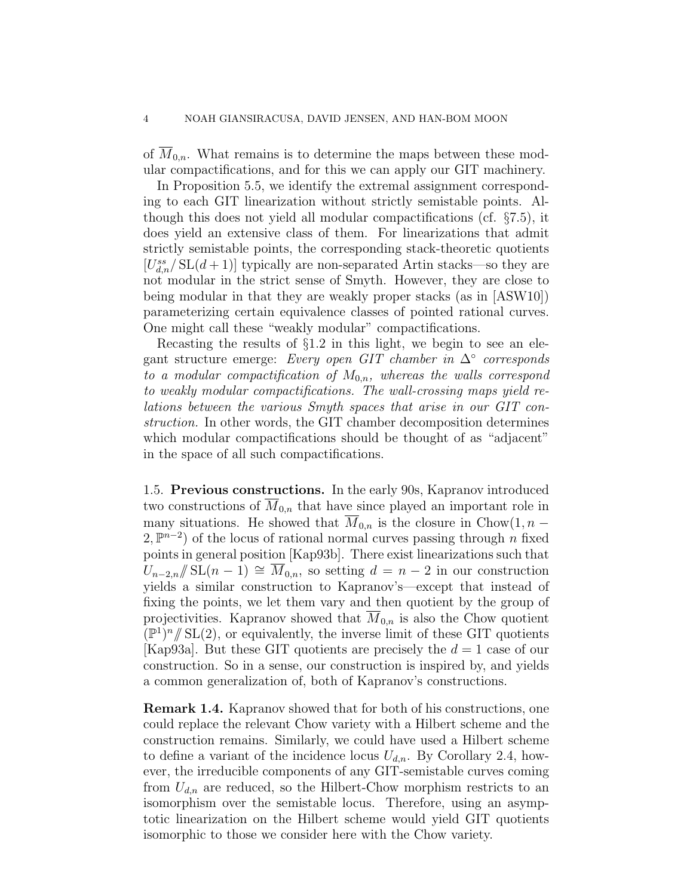of  $\overline{M}_{0,n}$ . What remains is to determine the maps between these modular compactifications, and for this we can apply our GIT machinery.

In Proposition 5.5, we identify the extremal assignment corresponding to each GIT linearization without strictly semistable points. Although this does not yield all modular compactifications (cf. §7.5), it does yield an extensive class of them. For linearizations that admit strictly semistable points, the corresponding stack-theoretic quotients  $[U_{d,n}^{ss}/SL(d+1)]$  typically are non-separated Artin stacks—so they are not modular in the strict sense of Smyth. However, they are close to being modular in that they are weakly proper stacks (as in [ASW10]) parameterizing certain equivalence classes of pointed rational curves. One might call these "weakly modular" compactifications.

Recasting the results of §1.2 in this light, we begin to see an elegant structure emerge: Every open GIT chamber in  $\Delta^{\circ}$  corresponds to a modular compactification of  $M_{0,n}$ , whereas the walls correspond to weakly modular compactifications. The wall-crossing maps yield relations between the various Smyth spaces that arise in our GIT construction. In other words, the GIT chamber decomposition determines which modular compactifications should be thought of as "adjacent" in the space of all such compactifications.

1.5. Previous constructions. In the early 90s, Kapranov introduced two constructions of  $\overline{M}_{0,n}$  that have since played an important role in many situations. He showed that  $\overline{M}_{0,n}$  is the closure in Chow $(1, n -$ 2,  $\mathbb{P}^{n-2}$ ) of the locus of rational normal curves passing through *n* fixed points in general position [Kap93b]. There exist linearizations such that  $U_{n-2,n}/\!\!/ \operatorname{SL}(n-1) \cong M_{0,n}$ , so setting  $d = n-2$  in our construction yields a similar construction to Kapranov's—except that instead of fixing the points, we let them vary and then quotient by the group of projectivities. Kapranov showed that  $M_{0,n}$  is also the Chow quotient  $(\mathbb{P}^{1})^{n}/\!\!/$  SL(2), or equivalently, the inverse limit of these GIT quotients |Kap93a|. But these GIT quotients are precisely the  $d = 1$  case of our construction. So in a sense, our construction is inspired by, and yields a common generalization of, both of Kapranov's constructions.

Remark 1.4. Kapranov showed that for both of his constructions, one could replace the relevant Chow variety with a Hilbert scheme and the construction remains. Similarly, we could have used a Hilbert scheme to define a variant of the incidence locus  $U_{d,n}$ . By Corollary 2.4, however, the irreducible components of any GIT-semistable curves coming from  $U_{d,n}$  are reduced, so the Hilbert-Chow morphism restricts to an isomorphism over the semistable locus. Therefore, using an asymptotic linearization on the Hilbert scheme would yield GIT quotients isomorphic to those we consider here with the Chow variety.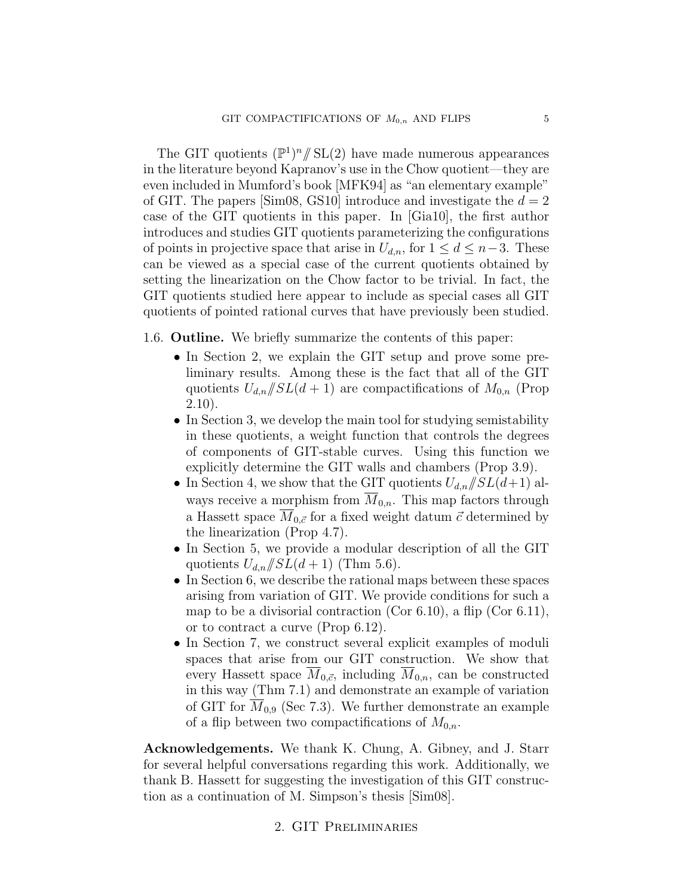The GIT quotients  $(\mathbb{P}^1)^n / \mathcal{SL}(2)$  have made numerous appearances in the literature beyond Kapranov's use in the Chow quotient—they are even included in Mumford's book [MFK94] as "an elementary example" of GIT. The papers [Sim08, GS10] introduce and investigate the  $d = 2$ case of the GIT quotients in this paper. In [Gia10], the first author introduces and studies GIT quotients parameterizing the configurations of points in projective space that arise in  $U_{d,n}$ , for  $1 \leq d \leq n-3$ . These can be viewed as a special case of the current quotients obtained by setting the linearization on the Chow factor to be trivial. In fact, the GIT quotients studied here appear to include as special cases all GIT quotients of pointed rational curves that have previously been studied.

# 1.6. Outline. We briefly summarize the contents of this paper:

- In Section 2, we explain the GIT setup and prove some preliminary results. Among these is the fact that all of the GIT quotients  $U_{d,n}/SL(d+1)$  are compactifications of  $M_{0,n}$  (Prop 2.10).
- In Section 3, we develop the main tool for studying semistability in these quotients, a weight function that controls the degrees of components of GIT-stable curves. Using this function we explicitly determine the GIT walls and chambers (Prop 3.9).
- In Section 4, we show that the GIT quotients  $U_{d,n}/SL(d+1)$  always receive a morphism from  $\overline{M}_{0,n}$ . This map factors through a Hassett space  $\overline{M}_{0,\vec{c}}$  for a fixed weight datum  $\vec{c}$  determined by the linearization (Prop 4.7).
- In Section 5, we provide a modular description of all the GIT quotients  $U_{d,n}/SL(d+1)$  (Thm 5.6).
- In Section 6, we describe the rational maps between these spaces arising from variation of GIT. We provide conditions for such a map to be a divisorial contraction (Cor 6.10), a flip (Cor 6.11), or to contract a curve (Prop 6.12).
- In Section 7, we construct several explicit examples of moduli spaces that arise from our GIT construction. We show that every Hassett space  $\overline{M}_{0,\vec{c}}$ , including  $\overline{M}_{0,n}$ , can be constructed in this way (Thm 7.1) and demonstrate an example of variation of GIT for  $M_{0,9}$  (Sec 7.3). We further demonstrate an example of a flip between two compactifications of  $M_{0,n}$ .

Acknowledgements. We thank K. Chung, A. Gibney, and J. Starr for several helpful conversations regarding this work. Additionally, we thank B. Hassett for suggesting the investigation of this GIT construction as a continuation of M. Simpson's thesis [Sim08].

# 2. GIT Preliminaries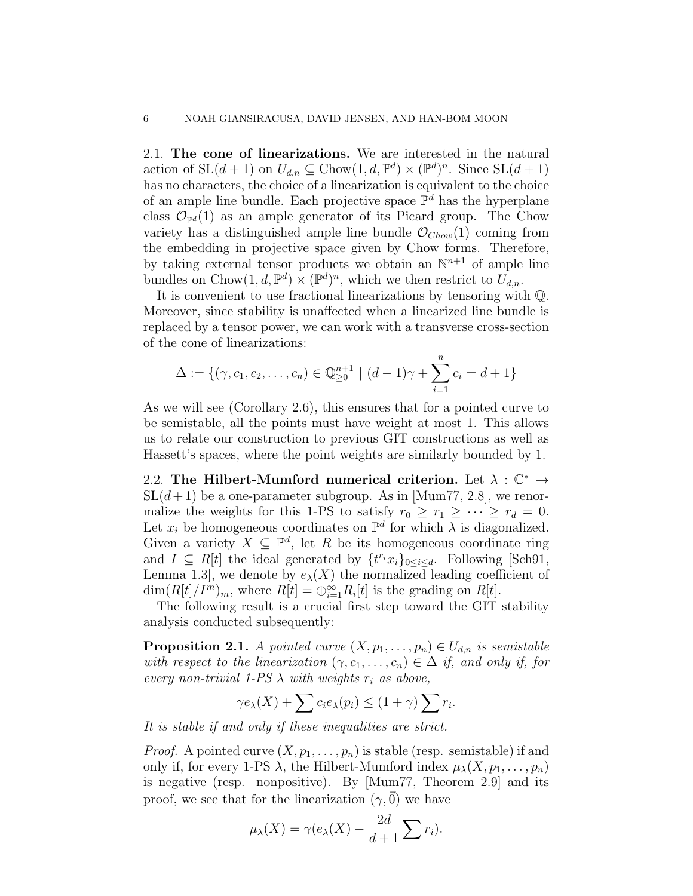2.1. The cone of linearizations. We are interested in the natural action of  $SL(d + 1)$  on  $U_{d,n} \subseteq Chow(1, d, \mathbb{P}^d) \times (\mathbb{P}^d)^n$ . Since  $SL(d + 1)$ has no characters, the choice of a linearization is equivalent to the choice of an ample line bundle. Each projective space  $\mathbb{P}^d$  has the hyperplane class  $\mathcal{O}_{\mathbb{P}^d}(1)$  as an ample generator of its Picard group. The Chow variety has a distinguished ample line bundle  $\mathcal{O}_{Chow}(1)$  coming from the embedding in projective space given by Chow forms. Therefore, by taking external tensor products we obtain an  $\mathbb{N}^{n+1}$  of ample line bundles on Chow $(1, d, \mathbb{P}^d) \times (\mathbb{P}^d)^n$ , which we then restrict to  $\tilde{U}_{d,n}$ .

It is convenient to use fractional linearizations by tensoring with Q. Moreover, since stability is unaffected when a linearized line bundle is replaced by a tensor power, we can work with a transverse cross-section of the cone of linearizations:

$$
\Delta := \{(\gamma, c_1, c_2, \dots, c_n) \in \mathbb{Q}_{\geq 0}^{n+1} \mid (d-1)\gamma + \sum_{i=1}^n c_i = d+1\}
$$

As we will see (Corollary 2.6), this ensures that for a pointed curve to be semistable, all the points must have weight at most 1. This allows us to relate our construction to previous GIT constructions as well as Hassett's spaces, where the point weights are similarly bounded by 1.

2.2. The Hilbert-Mumford numerical criterion. Let  $\lambda : \mathbb{C}^* \to$  $SL(d+1)$  be a one-parameter subgroup. As in [Mum77, 2.8], we renormalize the weights for this 1-PS to satisfy  $r_0 \ge r_1 \ge \cdots \ge r_d = 0$ . Let  $x_i$  be homogeneous coordinates on  $\mathbb{P}^d$  for which  $\lambda$  is diagonalized. Given a variety  $X \subseteq \mathbb{P}^d$ , let R be its homogeneous coordinate ring and  $I \subseteq R[t]$  the ideal generated by  $\{t^{r_i}x_i\}_{0 \leq i \leq d}$ . Following [Sch91, Lemma 1.3, we denote by  $e_{\lambda}(X)$  the normalized leading coefficient of  $\dim(R[t]/I^m)_m$ , where  $R[t] = \bigoplus_{i=1}^{\infty} R_i[t]$  is the grading on  $R[t]$ .

The following result is a crucial first step toward the GIT stability analysis conducted subsequently:

**Proposition 2.1.** A pointed curve  $(X, p_1, \ldots, p_n) \in U_{d,n}$  is semistable with respect to the linearization  $(\gamma, c_1, \ldots, c_n) \in \Delta$  if, and only if, for every non-trivial 1-PS  $\lambda$  with weights  $r_i$  as above,

$$
\gamma e_{\lambda}(X) + \sum c_i e_{\lambda}(p_i) \le (1 + \gamma) \sum r_i.
$$

It is stable if and only if these inequalities are strict.

*Proof.* A pointed curve  $(X, p_1, \ldots, p_n)$  is stable (resp. semistable) if and only if, for every 1-PS  $\lambda$ , the Hilbert-Mumford index  $\mu_{\lambda}(X, p_1, \ldots, p_n)$ is negative (resp. nonpositive). By [Mum77, Theorem 2.9] and its proof, we see that for the linearization  $(\gamma,\vec{0})$  we have

$$
\mu_{\lambda}(X) = \gamma(e_{\lambda}(X) - \frac{2d}{d+1} \sum r_i).
$$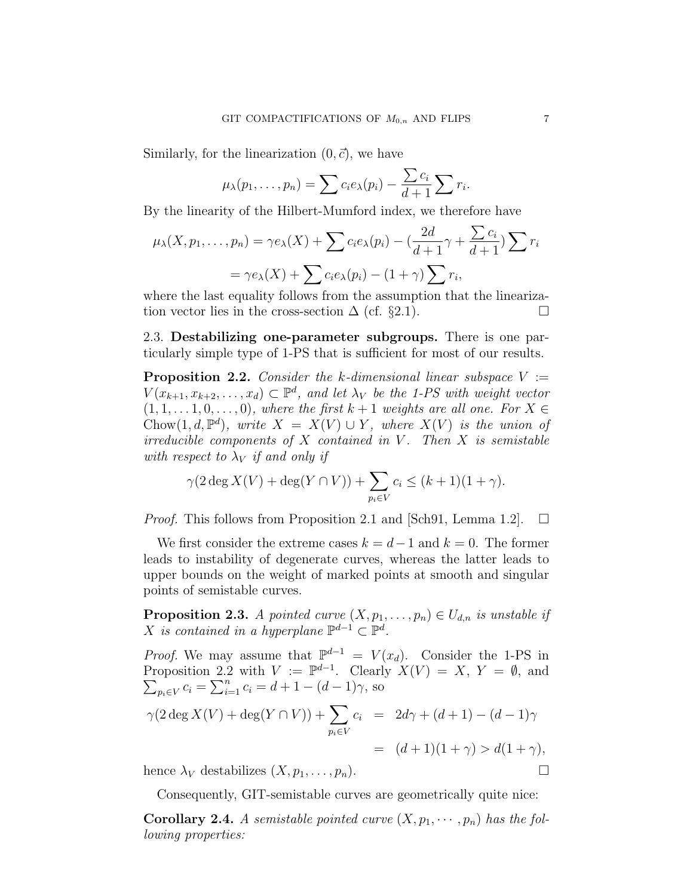Similarly, for the linearization  $(0, \vec{c})$ , we have

$$
\mu_{\lambda}(p_1,\ldots,p_n)=\sum c_i e_{\lambda}(p_i)-\frac{\sum c_i}{d+1}\sum r_i.
$$

By the linearity of the Hilbert-Mumford index, we therefore have

$$
\mu_{\lambda}(X, p_1, \dots, p_n) = \gamma e_{\lambda}(X) + \sum c_i e_{\lambda}(p_i) - \left(\frac{2d}{d+1}\gamma + \frac{\sum c_i}{d+1}\right) \sum r_i
$$

$$
= \gamma e_{\lambda}(X) + \sum c_i e_{\lambda}(p_i) - (1+\gamma) \sum r_i,
$$

where the last equality follows from the assumption that the linearization vector lies in the cross-section  $\Delta$  (cf. §2.1).

2.3. Destabilizing one-parameter subgroups. There is one particularly simple type of 1-PS that is sufficient for most of our results.

**Proposition 2.2.** Consider the k-dimensional linear subspace  $V :=$  $V(x_{k+1}, x_{k+2}, \ldots, x_d) \subset \mathbb{P}^d$ , and let  $\lambda_V$  be the 1-PS with weight vector  $(1, 1, \ldots, 1, 0, \ldots, 0)$ , where the first  $k + 1$  weights are all one. For  $X \in$ Chow $(1, d, \mathbb{P}^d)$ , write  $X = X(V) \cup Y$ , where  $X(V)$  is the union of irreducible components of  $X$  contained in  $V$ . Then  $X$  is semistable with respect to  $\lambda_V$  if and only if

$$
\gamma(2\deg X(V) + \deg(Y \cap V)) + \sum_{p_i \in V} c_i \le (k+1)(1+\gamma).
$$

*Proof.* This follows from Proposition 2.1 and [Sch91, Lemma 1.2].  $\Box$ 

We first consider the extreme cases  $k = d-1$  and  $k = 0$ . The former leads to instability of degenerate curves, whereas the latter leads to upper bounds on the weight of marked points at smooth and singular points of semistable curves.

**Proposition 2.3.** A pointed curve  $(X, p_1, \ldots, p_n) \in U_{d,n}$  is unstable if X is contained in a hyperplane  $\mathbb{P}^{d-1} \subset \mathbb{P}^d$ .

*Proof.* We may assume that  $\mathbb{P}^{d-1} = V(x_d)$ . Consider the 1-PS in Proposition 2.2 with  $V := \mathbb{P}^{d-1}$ . Clearly  $X(V) = X$ ,  $Y = \emptyset$ , and  $\sum_{p_i \in V} c_i = \sum_{i=1}^n c_i = d + 1 - (d - 1)\gamma$ , so

$$
\gamma(2 \deg X(V) + \deg(Y \cap V)) + \sum_{p_i \in V} c_i = 2d\gamma + (d+1) - (d-1)\gamma
$$
  
=  $(d+1)(1+\gamma) > d(1+\gamma),$   
hence  $\lambda_V$  destabilizes  $(X, p_1, \dots, p_n)$ .

Consequently, GIT-semistable curves are geometrically quite nice:

**Corollary 2.4.** A semistable pointed curve  $(X, p_1, \dots, p_n)$  has the following properties: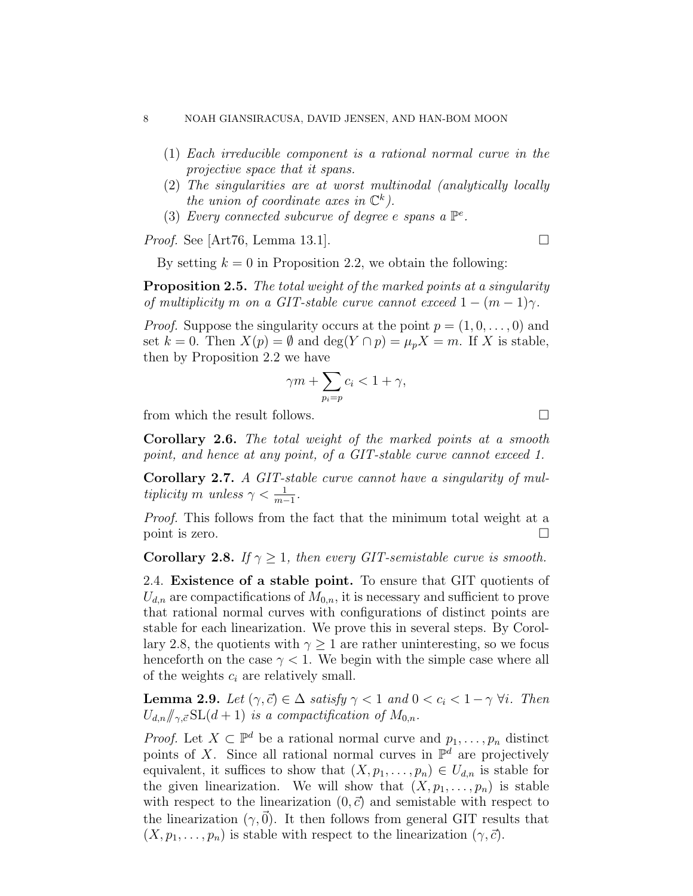- (1) Each irreducible component is a rational normal curve in the projective space that it spans.
- (2) The singularities are at worst multinodal (analytically locally the union of coordinate axes in  $\mathbb{C}^k$ ).
- (3) Every connected subcurve of degree e spans a  $\mathbb{P}^e$ .

*Proof.* See [Art76, Lemma 13.1].

By setting  $k = 0$  in Proposition 2.2, we obtain the following:

**Proposition 2.5.** The total weight of the marked points at a singularity of multiplicity m on a GIT-stable curve cannot exceed  $1 - (m - 1)\gamma$ .

*Proof.* Suppose the singularity occurs at the point  $p = (1, 0, \ldots, 0)$  and set  $k = 0$ . Then  $X(p) = \emptyset$  and  $\deg(Y \cap p) = \mu_p X = m$ . If X is stable, then by Proposition 2.2 we have

$$
\gamma m + \sum_{p_i = p} c_i < 1 + \gamma,
$$

from which the result follows.  $\Box$ 

Corollary 2.6. The total weight of the marked points at a smooth point, and hence at any point, of a GIT-stable curve cannot exceed 1.

Corollary 2.7. A GIT-stable curve cannot have a singularity of multiplicity m unless  $\gamma < \frac{1}{m-1}$ .

Proof. This follows from the fact that the minimum total weight at a point is zero.

**Corollary 2.8.** If  $\gamma \geq 1$ , then every GIT-semistable curve is smooth.

2.4. Existence of a stable point. To ensure that GIT quotients of  $U_{d,n}$  are compactifications of  $M_{0,n}$ , it is necessary and sufficient to prove that rational normal curves with configurations of distinct points are stable for each linearization. We prove this in several steps. By Corollary 2.8, the quotients with  $\gamma \geq 1$  are rather uninteresting, so we focus henceforth on the case  $\gamma$  < 1. We begin with the simple case where all of the weights  $c_i$  are relatively small.

**Lemma 2.9.** Let  $(\gamma, \vec{c}) \in \Delta$  satisfy  $\gamma < 1$  and  $0 < c_i < 1 - \gamma \forall i$ . Then  $U_{d,n}/\!\!/_{\gamma,\vec{c}}\,SL(d+1)$  is a compactification of  $M_{0,n}$ .

*Proof.* Let  $X \subset \mathbb{P}^d$  be a rational normal curve and  $p_1, \ldots, p_n$  distinct points of X. Since all rational normal curves in  $\mathbb{P}^d$  are projectively equivalent, it suffices to show that  $(X, p_1, \ldots, p_n) \in U_{d,n}$  is stable for the given linearization. We will show that  $(X, p_1, \ldots, p_n)$  is stable with respect to the linearization  $(0, \vec{c})$  and semistable with respect to the linearization  $(\gamma,\vec{0})$ . It then follows from general GIT results that  $(X, p_1, \ldots, p_n)$  is stable with respect to the linearization  $(\gamma, \vec{c})$ .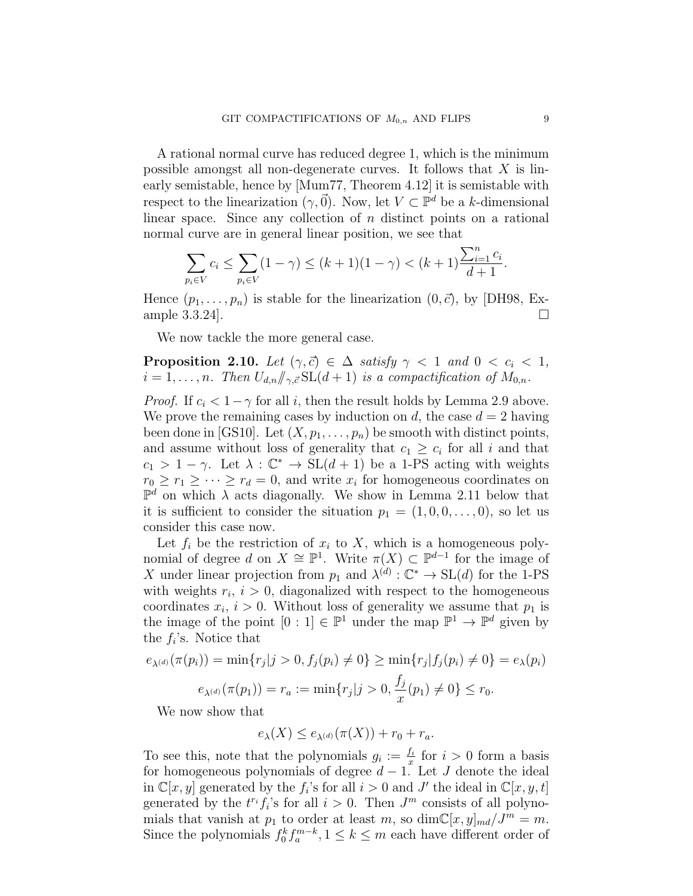A rational normal curve has reduced degree 1, which is the minimum possible amongst all non-degenerate curves. It follows that  $X$  is linearly semistable, hence by [Mum77, Theorem 4.12] it is semistable with respect to the linearization  $(\gamma, \vec{0})$ . Now, let  $V \subset \mathbb{P}^d$  be a k-dimensional linear space. Since any collection of  $n$  distinct points on a rational normal curve are in general linear position, we see that

$$
\sum_{p_i \in V} c_i \le \sum_{p_i \in V} (1 - \gamma) \le (k + 1)(1 - \gamma) < (k + 1) \frac{\sum_{i=1}^n c_i}{d+1}.
$$

Hence  $(p_1, \ldots, p_n)$  is stable for the linearization  $(0, \vec{c})$ , by [DH98, Example 3.3.24].

We now tackle the more general case.

**Proposition 2.10.** Let  $(\gamma, \vec{c}) \in \Delta$  satisfy  $\gamma < 1$  and  $0 < c_i < 1$ ,  $i = 1, \ldots, n$ . Then  $U_{d,n}/\!\!/_{\gamma,\vec{c}} \operatorname{SL}(d+1)$  is a compactification of  $M_{0,n}$ .

*Proof.* If  $c_i < 1-\gamma$  for all i, then the result holds by Lemma 2.9 above. We prove the remaining cases by induction on d, the case  $d = 2$  having been done in [GS10]. Let  $(X, p_1, \ldots, p_n)$  be smooth with distinct points, and assume without loss of generality that  $c_1 \geq c_i$  for all i and that  $c_1 > 1 - \gamma$ . Let  $\lambda : \mathbb{C}^* \to SL(d+1)$  be a 1-PS acting with weights  $r_0 \geq r_1 \geq \cdots \geq r_d = 0$ , and write  $x_i$  for homogeneous coordinates on  $\mathbb{P}^d$  on which  $\lambda$  acts diagonally. We show in Lemma 2.11 below that it is sufficient to consider the situation  $p_1 = (1, 0, 0, \ldots, 0)$ , so let us consider this case now.

Let  $f_i$  be the restriction of  $x_i$  to  $X$ , which is a homogeneous polynomial of degree d on  $X \cong \mathbb{P}^1$ . Write  $\pi(X) \subset \mathbb{P}^{d-1}$  for the image of X under linear projection from  $p_1$  and  $\lambda^{(d)}$  :  $\mathbb{C}^* \to SL(d)$  for the 1-PS with weights  $r_i$ ,  $i > 0$ , diagonalized with respect to the homogeneous coordinates  $x_i$ ,  $i > 0$ . Without loss of generality we assume that  $p_1$  is the image of the point  $[0:1] \in \mathbb{P}^1$  under the map  $\mathbb{P}^1 \to \mathbb{P}^d$  given by the  $f_i$ 's. Notice that

$$
e_{\lambda^{(d)}}(\pi(p_i)) = \min\{r_j|j > 0, f_j(p_i) \neq 0\} \ge \min\{r_j|f_j(p_i) \neq 0\} = e_{\lambda}(p_i)
$$

$$
e_{\lambda^{(d)}}(\pi(p_1)) = r_a := \min\{r_j|j > 0, \frac{f_j}{x}(p_1) \neq 0\} \le r_0.
$$

We now show that

$$
e_{\lambda}(X) \leq e_{\lambda^{(d)}}(\pi(X)) + r_0 + r_a.
$$

To see this, note that the polynomials  $g_i := \frac{f_i}{x_i}$  $\frac{f_i}{x}$  for  $i > 0$  form a basis for homogeneous polynomials of degree  $d-1$ . Let J denote the ideal in  $\mathbb{C}[x, y]$  generated by the  $f_i$ 's for all  $i > 0$  and J' the ideal in  $\mathbb{C}[x, y, t]$ generated by the  $t^{r_i} f_i$ 's for all  $i > 0$ . Then  $J^m$  consists of all polynomials that vanish at  $p_1$  to order at least m, so  $\dim \mathbb{C}[x,y]_{md}/J^m = m$ . Since the polynomials  $f_0^k f_a^{m-k}$ ,  $1 \leq k \leq m$  each have different order of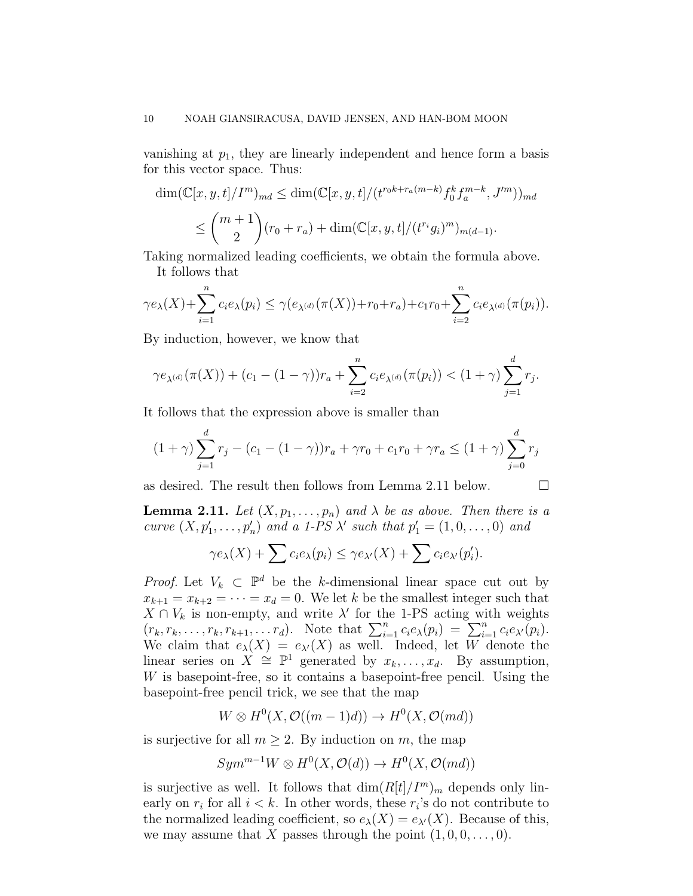vanishing at  $p_1$ , they are linearly independent and hence form a basis for this vector space. Thus:

$$
\dim(\mathbb{C}[x, y, t]/I^m)_{md} \le \dim(\mathbb{C}[x, y, t]/(t^{r_0k + r_a(m-k)} f_0^k f_a^{m-k}, J'^m))_{md}
$$
  

$$
\le \binom{m+1}{2} (r_0 + r_a) + \dim(\mathbb{C}[x, y, t]/(t^{r_i} g_i)^m)_{m(d-1)}.
$$

Taking normalized leading coefficients, we obtain the formula above. It follows that

$$
\gamma e_{\lambda}(X) + \sum_{i=1}^{n} c_{i} e_{\lambda}(p_{i}) \leq \gamma (e_{\lambda^{(d)}}(\pi(X)) + r_{0} + r_{a}) + c_{1} r_{0} + \sum_{i=2}^{n} c_{i} e_{\lambda^{(d)}}(\pi(p_{i})).
$$

By induction, however, we know that

$$
\gamma e_{\lambda^{(d)}}(\pi(X)) + (c_1 - (1 - \gamma))r_a + \sum_{i=2}^n c_i e_{\lambda^{(d)}}(\pi(p_i)) < (1 + \gamma) \sum_{j=1}^d r_j.
$$

It follows that the expression above is smaller than

$$
(1+\gamma)\sum_{j=1}^{d} r_j - (c_1 - (1-\gamma))r_a + \gamma r_0 + c_1r_0 + \gamma r_a \le (1+\gamma)\sum_{j=0}^{d} r_j
$$

as desired. The result then follows from Lemma 2.11 below.  $\Box$ 

**Lemma 2.11.** Let  $(X, p_1, \ldots, p_n)$  and  $\lambda$  be as above. Then there is a curve  $(X, p'_1, \ldots, p'_n)$  and a 1-PS  $\lambda'$  such that  $p'_1 = (1, 0, \ldots, 0)$  and

$$
\gamma e_{\lambda}(X) + \sum c_i e_{\lambda}(p_i) \leq \gamma e_{\lambda'}(X) + \sum c_i e_{\lambda'}(p_i').
$$

*Proof.* Let  $V_k \subset \mathbb{P}^d$  be the k-dimensional linear space cut out by  $x_{k+1} = x_{k+2} = \cdots = x_d = 0$ . We let k be the smallest integer such that  $X \cap V_k$  is non-empty, and write  $\lambda'$  for the 1-PS acting with weights  $(r_k, r_k, \ldots, r_k, r_{k+1}, \ldots, r_d)$ . Note that  $\sum_{i=1}^n c_i e_\lambda(p_i) = \sum_{i=1}^n c_i e_{\lambda'}(p_i)$ . We claim that  $e_{\lambda}(X) = e_{\lambda}(X)$  as well. Indeed, let W denote the linear series on  $\widehat{X} \cong \mathbb{P}^1$  generated by  $x_k, \ldots, x_d$ . By assumption, W is basepoint-free, so it contains a basepoint-free pencil. Using the basepoint-free pencil trick, we see that the map

$$
W \otimes H^0(X, \mathcal{O}((m-1)d)) \to H^0(X, \mathcal{O}(md))
$$

is surjective for all  $m \geq 2$ . By induction on m, the map

$$
Sym^{m-1}W \otimes H^0(X, \mathcal{O}(d)) \to H^0(X, \mathcal{O}(md))
$$

is surjective as well. It follows that  $\dim(R[t]/I^m)_m$  depends only linearly on  $r_i$  for all  $i < k$ . In other words, these  $r_i$ 's do not contribute to the normalized leading coefficient, so  $e_{\lambda}(X) = e_{\lambda}(X)$ . Because of this, we may assume that X passes through the point  $(1, 0, 0, \ldots, 0)$ .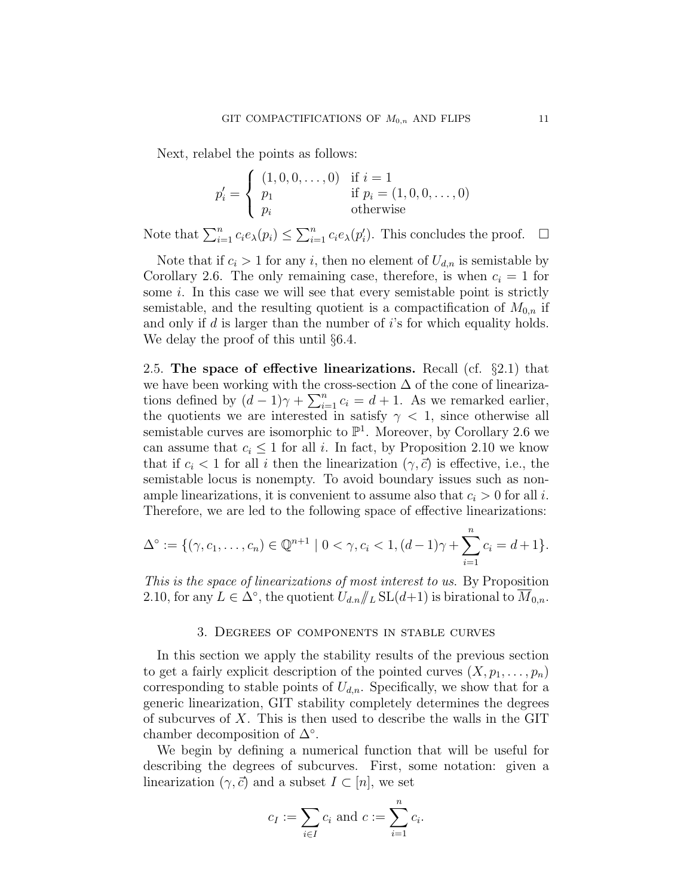Next, relabel the points as follows:

$$
p'_{i} = \begin{cases} (1, 0, 0, \dots, 0) & \text{if } i = 1 \\ p_{1} & \text{if } p_{i} = (1, 0, 0, \dots, 0) \\ p_{i} & \text{otherwise} \end{cases}
$$

Note that  $\sum_{i=1}^{n} c_i e_\lambda(p_i) \leq \sum_{i=1}^{n} c_i e_\lambda(p_i')$ . This concludes the proof.  $\Box$ 

Note that if  $c_i > 1$  for any i, then no element of  $U_{d,n}$  is semistable by Corollary 2.6. The only remaining case, therefore, is when  $c_i = 1$  for some *i*. In this case we will see that every semistable point is strictly semistable, and the resulting quotient is a compactification of  $M_{0,n}$  if and only if  $d$  is larger than the number of  $i$ 's for which equality holds. We delay the proof of this until §6.4.

2.5. The space of effective linearizations. Recall (cf.  $\S 2.1$ ) that we have been working with the cross-section  $\Delta$  of the cone of linearizations defined by  $(d-1)\gamma + \sum_{i=1}^{n} c_i = d+1$ . As we remarked earlier, the quotients we are interested in satisfy  $\gamma$  < 1, since otherwise all semistable curves are isomorphic to  $\mathbb{P}^1$ . Moreover, by Corollary 2.6 we can assume that  $c_i \leq 1$  for all i. In fact, by Proposition 2.10 we know that if  $c_i < 1$  for all i then the linearization  $(\gamma, \vec{c})$  is effective, i.e., the semistable locus is nonempty. To avoid boundary issues such as nonample linearizations, it is convenient to assume also that  $c_i > 0$  for all i. Therefore, we are led to the following space of effective linearizations:

$$
\Delta^{\circ} := \{ (\gamma, c_1, \dots, c_n) \in \mathbb{Q}^{n+1} \mid 0 < \gamma, c_i < 1, (d-1)\gamma + \sum_{i=1}^n c_i = d+1 \}.
$$

This is the space of linearizations of most interest to us. By Proposition 2.10, for any  $L \in \Delta^{\circ}$ , the quotient  $U_{d,n} / \! \! \! \! /_L \text{SL}(d+1)$  is birational to  $\overline{M}_{0,n}$ .

#### 3. Degrees of components in stable curves

In this section we apply the stability results of the previous section to get a fairly explicit description of the pointed curves  $(X, p_1, \ldots, p_n)$ corresponding to stable points of  $U_{d,n}$ . Specifically, we show that for a generic linearization, GIT stability completely determines the degrees of subcurves of X. This is then used to describe the walls in the GIT chamber decomposition of  $\Delta^{\circ}$ .

We begin by defining a numerical function that will be useful for describing the degrees of subcurves. First, some notation: given a linearization  $(\gamma, \vec{c})$  and a subset  $I \subset [n]$ , we set

$$
c_I := \sum_{i \in I} c_i
$$
 and  $c := \sum_{i=1}^n c_i$ .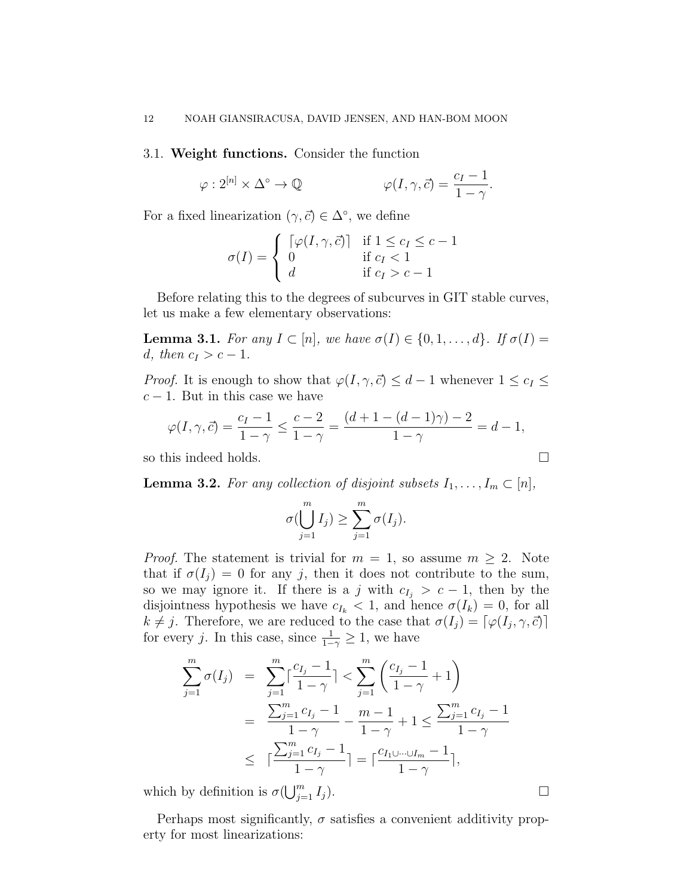3.1. Weight functions. Consider the function

$$
\varphi: 2^{[n]} \times \Delta^{\circ} \to \mathbb{Q} \qquad \varphi(I, \gamma, \vec{c}) = \frac{c_I - 1}{1 - \gamma}.
$$

For a fixed linearization  $(\gamma, \vec{c}) \in \Delta^{\circ}$ , we define

$$
\sigma(I) = \begin{cases}\n\begin{bmatrix}\n\varphi(I, \gamma, \vec{c})\n\end{bmatrix} & \text{if } 1 \leq c_I \leq c - 1 \\
0 & \text{if } c_I < 1 \\
d & \text{if } c_I > c - 1\n\end{cases}
$$

Before relating this to the degrees of subcurves in GIT stable curves, let us make a few elementary observations:

**Lemma 3.1.** For any  $I \subset [n]$ , we have  $\sigma(I) \in \{0, 1, ..., d\}$ . If  $\sigma(I) =$ d, then  $c_I > c - 1$ .

*Proof.* It is enough to show that  $\varphi(I, \gamma, \vec{c}) \leq d - 1$  whenever  $1 \leq c_I \leq d$  $c - 1$ . But in this case we have

$$
\varphi(I, \gamma, \vec{c}) = \frac{c_I - 1}{1 - \gamma} \le \frac{c - 2}{1 - \gamma} = \frac{(d + 1 - (d - 1)\gamma) - 2}{1 - \gamma} = d - 1,
$$

so this indeed holds.

**Lemma 3.2.** For any collection of disjoint subsets  $I_1, \ldots, I_m \subset [n]$ ,

$$
\sigma(\bigcup_{j=1}^m I_j) \geq \sum_{j=1}^m \sigma(I_j).
$$

*Proof.* The statement is trivial for  $m = 1$ , so assume  $m \geq 2$ . Note that if  $\sigma(I_i) = 0$  for any j, then it does not contribute to the sum, so we may ignore it. If there is a j with  $c_{I_i} > c - 1$ , then by the disjointness hypothesis we have  $c_{I_k} < 1$ , and hence  $\sigma(I_k) = 0$ , for all  $k \neq j$ . Therefore, we are reduced to the case that  $\sigma(I_j) = [\varphi(I_j, \gamma, \vec{c})]$ for every j. In this case, since  $\frac{1}{1-\gamma} \geq 1$ , we have

$$
\sum_{j=1}^{m} \sigma(I_j) = \sum_{j=1}^{m} \left\lceil \frac{c_{I_j} - 1}{1 - \gamma} \right\rceil < \sum_{j=1}^{m} \left( \frac{c_{I_j} - 1}{1 - \gamma} + 1 \right)
$$
  
= 
$$
\frac{\sum_{j=1}^{m} c_{I_j} - 1}{1 - \gamma} - \frac{m - 1}{1 - \gamma} + 1 \le \frac{\sum_{j=1}^{m} c_{I_j} - 1}{1 - \gamma}
$$
  

$$
\le \left\lceil \frac{\sum_{j=1}^{m} c_{I_j} - 1}{1 - \gamma} \right\rceil = \left\lceil \frac{c_{I_1 \cup \dots \cup I_m} - 1}{1 - \gamma} \right\rceil,
$$

which by definition is  $\sigma(\bigcup_{j=1}^m I_j)$ .

Perhaps most significantly,  $\sigma$  satisfies a convenient additivity property for most linearizations: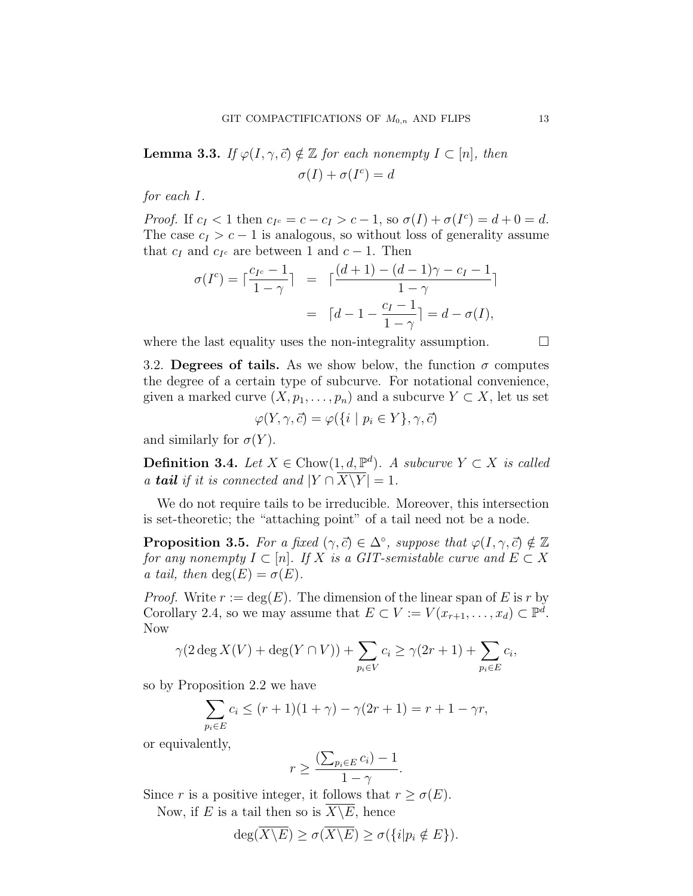**Lemma 3.3.** If  $\varphi(I, \gamma, \vec{c}) \notin \mathbb{Z}$  for each nonempty  $I \subset [n]$ , then  $\sigma(I) + \sigma(I^c) = d$ 

for each I.

Proof. If  $c_I < 1$  then  $c_{I^c} = c - c_I > c - 1$ , so  $\sigma(I) + \sigma(I^c) = d + 0 = d$ . The case  $c_I > c - 1$  is analogous, so without loss of generality assume that  $c_I$  and  $c_{I^c}$  are between 1 and  $c-1$ . Then

$$
\sigma(I^c) = \lceil \frac{c_{I^c} - 1}{1 - \gamma} \rceil = \lceil \frac{(d+1) - (d-1)\gamma - c_I - 1}{1 - \gamma} \rceil
$$

$$
= \lceil d - 1 - \frac{c_I - 1}{1 - \gamma} \rceil = d - \sigma(I),
$$

where the last equality uses the non-integrality assumption.

3.2. Degrees of tails. As we show below, the function  $\sigma$  computes the degree of a certain type of subcurve. For notational convenience, given a marked curve  $(X, p_1, \ldots, p_n)$  and a subcurve  $Y \subset X$ , let us set

$$
\varphi(Y,\gamma,\vec{c}) = \varphi(\{i \mid p_i \in Y\},\gamma,\vec{c})
$$

and similarly for  $\sigma(Y)$ .

**Definition 3.4.** Let  $X \in \text{Chow}(1, d, \mathbb{P}^d)$ . A subcurve  $Y \subset X$  is called a **tail** if it is connected and  $|Y \cap \overline{X \setminus Y}| = 1$ .

We do not require tails to be irreducible. Moreover, this intersection is set-theoretic; the "attaching point" of a tail need not be a node.

**Proposition 3.5.** For a fixed  $(\gamma, \vec{c}) \in \Delta^{\circ}$ , suppose that  $\varphi(I, \gamma, \vec{c}) \notin \mathbb{Z}$ for any nonempty  $I \subset [n]$ . If X is a GIT-semistable curve and  $E \subset X$ a tail, then  $deg(E) = \sigma(E)$ .

*Proof.* Write  $r := \deg(E)$ . The dimension of the linear span of E is r by Corollary 2.4, so we may assume that  $E \subset V := V(x_{r+1}, \ldots, x_d) \subset \mathbb{P}^d$ . Now

$$
\gamma(2\deg X(V) + \deg(Y \cap V)) + \sum_{p_i \in V} c_i \ge \gamma(2r+1) + \sum_{p_i \in E} c_i,
$$

so by Proposition 2.2 we have

$$
\sum_{p_i \in E} c_i \le (r+1)(1+\gamma) - \gamma(2r+1) = r+1-\gamma r,
$$

or equivalently,

$$
r \ge \frac{\left(\sum_{p_i \in E} c_i\right) - 1}{1 - \gamma}.
$$

Since r is a positive integer, it follows that  $r \geq \sigma(E)$ .

Now, if E is a tail then so is  $\overline{X \setminus E}$ , hence

$$
\deg(\overline{X \backslash E}) \ge \sigma(\overline{X \backslash E}) \ge \sigma({i | p_i \notin E}).
$$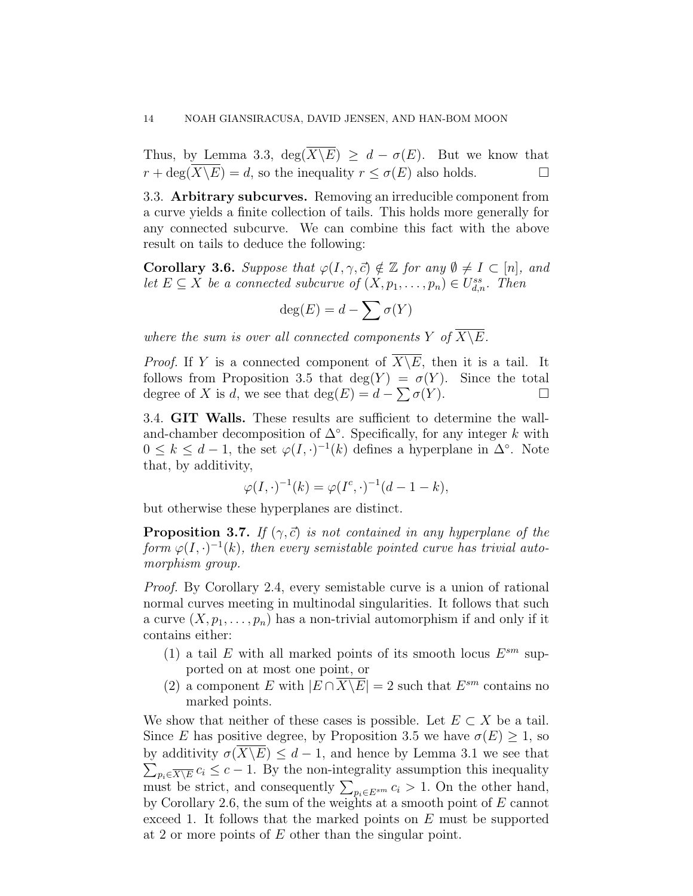Thus, by Lemma 3.3,  $\deg(\overline{X \setminus E}) \geq d - \sigma(E)$ . But we know that  $r + \deg(\overline{X \backslash E}) = d$ , so the inequality  $r \leq \sigma(E)$  also holds.

3.3. Arbitrary subcurves. Removing an irreducible component from a curve yields a finite collection of tails. This holds more generally for any connected subcurve. We can combine this fact with the above result on tails to deduce the following:

**Corollary 3.6.** Suppose that  $\varphi(I, \gamma, \vec{c}) \notin \mathbb{Z}$  for any  $\emptyset \neq I \subset [n]$ , and let  $E \subseteq X$  be a connected subcurve of  $(X, p_1, \ldots, p_n) \in U_{d,n}^{ss}$ . Then

$$
\deg(E) = d - \sum \sigma(Y)
$$

where the sum is over all connected components Y of  $\overline{X\setminus E}$ .

*Proof.* If Y is a connected component of  $\overline{X \setminus E}$ , then it is a tail. It follows from Proposition 3.5 that  $deg(Y) = \sigma(Y)$ . Since the total degree of X is d, we see that  $deg(E) = d - \sum \sigma(Y)$ .

3.4. GIT Walls. These results are sufficient to determine the walland-chamber decomposition of  $\Delta^{\circ}$ . Specifically, for any integer k with  $0 \leq k \leq d-1$ , the set  $\varphi(I, \cdot)^{-1}(k)$  defines a hyperplane in  $\Delta^{\circ}$ . Note that, by additivity,

$$
\varphi(I, \cdot)^{-1}(k) = \varphi(I^c, \cdot)^{-1}(d - 1 - k),
$$

but otherwise these hyperplanes are distinct.

**Proposition 3.7.** If  $(\gamma, \vec{c})$  is not contained in any hyperplane of the form  $\varphi(I, \cdot)^{-1}(k)$ , then every semistable pointed curve has trivial automorphism group.

Proof. By Corollary 2.4, every semistable curve is a union of rational normal curves meeting in multinodal singularities. It follows that such a curve  $(X, p_1, \ldots, p_n)$  has a non-trivial automorphism if and only if it contains either:

- (1) a tail E with all marked points of its smooth locus  $E^{sm}$  supported on at most one point, or
- (2) a component E with  $|E \cap \overline{X \setminus E}| = 2$  such that  $E^{sm}$  contains no marked points.

We show that neither of these cases is possible. Let  $E \subset X$  be a tail. Since E has positive degree, by Proposition 3.5 we have  $\sigma(E) \geq 1$ , so  $\sum_{p_i \in \overline{X \setminus E}} c_i \leq c - 1$ . By the non-integrality assumption this inequality by additivity  $\sigma(X\backslash E) \leq d-1$ , and hence by Lemma 3.1 we see that must be strict, and consequently  $\sum_{p_i \in E^{sm}} c_i > 1$ . On the other hand, by Corollary 2.6, the sum of the weights at a smooth point of E cannot exceed 1. It follows that the marked points on E must be supported at 2 or more points of E other than the singular point.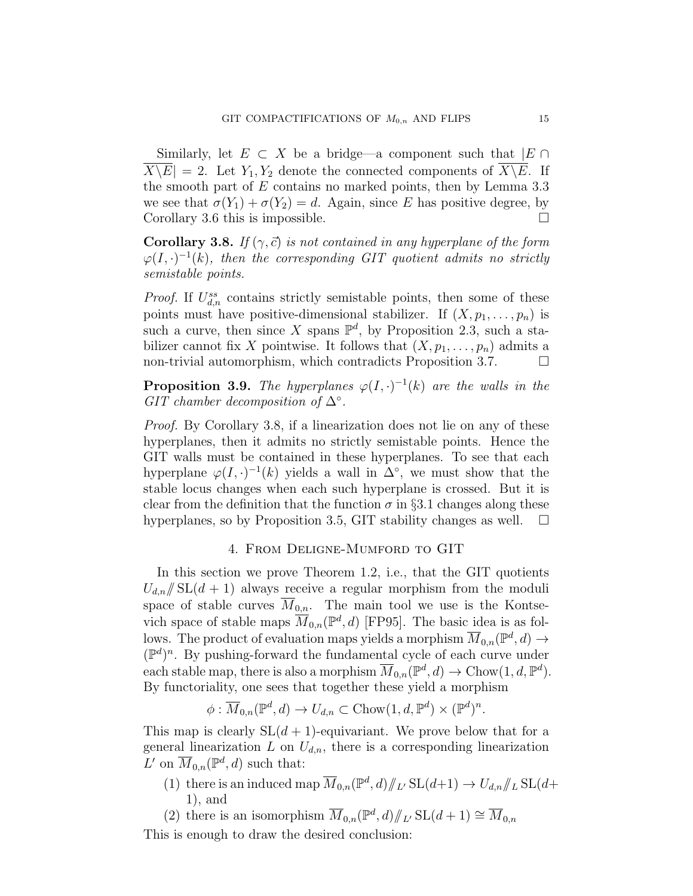Similarly, let  $E \subset X$  be a bridge—a component such that  $|E \cap$  $X\backslash E|=2$ . Let  $Y_1, Y_2$  denote the connected components of  $X\backslash E$ . If the smooth part of  $E$  contains no marked points, then by Lemma 3.3 we see that  $\sigma(Y_1) + \sigma(Y_2) = d$ . Again, since E has positive degree, by Corollary 3.6 this is impossible.  $\Box$ 

**Corollary 3.8.** If  $(\gamma, \vec{c})$  is not contained in any hyperplane of the form  $\varphi(I, \cdot)^{-1}(k)$ , then the corresponding GIT quotient admits no strictly semistable points.

*Proof.* If  $U_{d,n}^{ss}$  contains strictly semistable points, then some of these points must have positive-dimensional stabilizer. If  $(X, p_1, \ldots, p_n)$  is such a curve, then since X spans  $\mathbb{P}^d$ , by Proposition 2.3, such a stabilizer cannot fix X pointwise. It follows that  $(X, p_1, \ldots, p_n)$  admits a non-trivial automorphism, which contradicts Proposition 3.7.

**Proposition 3.9.** The hyperplanes  $\varphi(I, \cdot)^{-1}(k)$  are the walls in the GIT chamber decomposition of  $\Delta^{\circ}$ .

Proof. By Corollary 3.8, if a linearization does not lie on any of these hyperplanes, then it admits no strictly semistable points. Hence the GIT walls must be contained in these hyperplanes. To see that each hyperplane  $\varphi(I, \cdot)^{-1}(k)$  yields a wall in  $\Delta^{\circ}$ , we must show that the stable locus changes when each such hyperplane is crossed. But it is clear from the definition that the function  $\sigma$  in §3.1 changes along these hyperplanes, so by Proposition 3.5, GIT stability changes as well.  $\Box$ 

## 4. From Deligne-Mumford to GIT

In this section we prove Theorem 1.2, i.e., that the GIT quotients  $U_{d,n}/\!\!/ \mathrm{SL}(d+1)$  always receive a regular morphism from the moduli space of stable curves  $\overline{M}_{0,n}$ . The main tool we use is the Kontsevich space of stable maps  $\overline{M}_{0,n}(\mathbb{P}^d,d)$  [FP95]. The basic idea is as follows. The product of evaluation maps yields a morphism  $\overline{M}_{0,n}(\mathbb{P}^d, d) \to$  $(\mathbb{P}^d)^n$ . By pushing-forward the fundamental cycle of each curve under each stable map, there is also a morphism  $\overline{M}_{0,n}(\mathbb{P}^d, d) \to \text{Chow}(1, d, \mathbb{P}^d)$ . By functoriality, one sees that together these yield a morphism

$$
\phi: \overline{M}_{0,n}(\mathbb{P}^d, d) \to U_{d,n} \subset \text{Chow}(1, d, \mathbb{P}^d) \times (\mathbb{P}^d)^n.
$$

This map is clearly  $SL(d+1)$ -equivariant. We prove below that for a general linearization L on  $U_{d,n}$ , there is a corresponding linearization L' on  $\overline{M}_{0,n}(\mathbb{P}^d,d)$  such that:

(1) there is an induced map  $\overline{M}_{0,n}(\mathbb{P}^d, d)/\!_{L'}$  SL $(d+1) \to U_{d,n}/\!_{L}$  SL $(d+1)$ 1), and

(2) there is an isomorphism  $\overline{M}_{0,n}(\mathbb{P}^d, d)/\mathbb{Z}$ ,  $SL(d+1) \cong \overline{M}_{0,n}$ 

This is enough to draw the desired conclusion: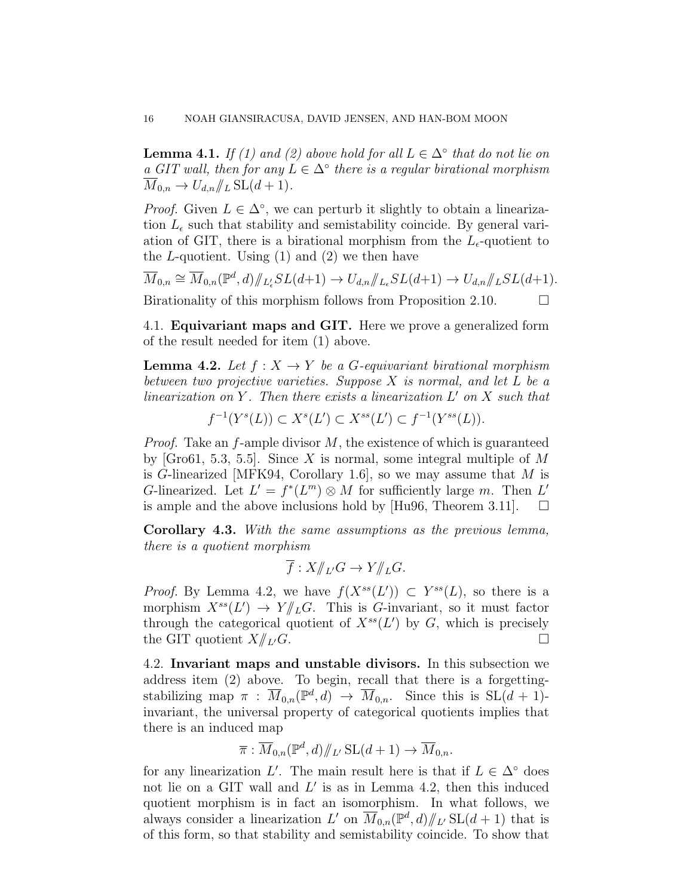**Lemma 4.1.** If (1) and (2) above hold for all  $L \in \Delta^{\circ}$  that do not lie on a GIT wall, then for any  $L \in \Delta^{\circ}$  there is a regular birational morphism  $\overline{M}_{0,n} \to U_{d,n}/\hspace{-4pt}/_{L} SL(d+1).$ 

*Proof.* Given  $L \in \Delta^{\circ}$ , we can perturb it slightly to obtain a linearization  $L_{\epsilon}$  such that stability and semistability coincide. By general variation of GIT, there is a birational morphism from the  $L_{\epsilon}$ -quotient to the  $L$ -quotient. Using (1) and (2) we then have

 $\overline{M}_{0,n} \cong \overline{M}_{0,n}(\mathbb{P}^d,d)/\mathbb{Z}_{\ell}^{\ell} SL(d+1) \to U_{d,n}/\mathbb{Z}_{\ell} SL(d+1) \to U_{d,n}/\mathbb{Z}_{\ell} SL(d+1).$ Birationality of this morphism follows from Proposition 2.10.  $\Box$ 

4.1. Equivariant maps and GIT. Here we prove a generalized form of the result needed for item (1) above.

**Lemma 4.2.** Let  $f: X \to Y$  be a G-equivariant birational morphism between two projective varieties. Suppose  $X$  is normal, and let  $L$  be a  $linearization on Y$ . Then there exists a linearization  $L'$  on  $X$  such that

$$
f^{-1}(Y^{s}(L)) \subset X^{s}(L') \subset X^{ss}(L') \subset f^{-1}(Y^{ss}(L)).
$$

*Proof.* Take an  $f$ -ample divisor  $M$ , the existence of which is guaranteed by [Gro61, 5.3, 5.5]. Since X is normal, some integral multiple of M is G-linearized [MFK94, Corollary 1.6], so we may assume that  $M$  is G-linearized. Let  $L' = f^*(L^m) \otimes M$  for sufficiently large m. Then L' is ample and the above inclusions hold by [Hu96, Theorem 3.11].  $\Box$ 

Corollary 4.3. With the same assumptions as the previous lemma, there is a quotient morphism

$$
\overline{f}: X/\!\!/_{L'}G \to Y/\!\!/_{L}G.
$$

*Proof.* By Lemma 4.2, we have  $f(X^{ss}(L')) \subset Y^{ss}(L)$ , so there is a morphism  $X^{ss}(L') \to Y/\!\!/_{L} G$ . This is G-invariant, so it must factor through the categorical quotient of  $X^{ss}(L')$  by G, which is precisely the GIT quotient  $X/\!\!/_{L'} G$ .

4.2. Invariant maps and unstable divisors. In this subsection we address item (2) above. To begin, recall that there is a forgettingstabilizing map  $\pi$ :  $\overline{M}_{0,n}(\mathbb{P}^d, d) \to \overline{M}_{0,n}$ . Since this is  $SL(d + 1)$ invariant, the universal property of categorical quotients implies that there is an induced map

$$
\overline{\pi} : \overline{M}_{0,n}(\mathbb{P}^d, d) / \! \! /_{L'} \operatorname{SL}(d+1) \to \overline{M}_{0,n}.
$$

for any linearization L'. The main result here is that if  $L \in \Delta^{\circ}$  does not lie on a GIT wall and  $L'$  is as in Lemma 4.2, then this induced quotient morphism is in fact an isomorphism. In what follows, we always consider a linearization L' on  $\overline{M}_{0,n}(\mathbb{P}^d, d)/\!\!/_{L}$  SL $(d+1)$  that is of this form, so that stability and semistability coincide. To show that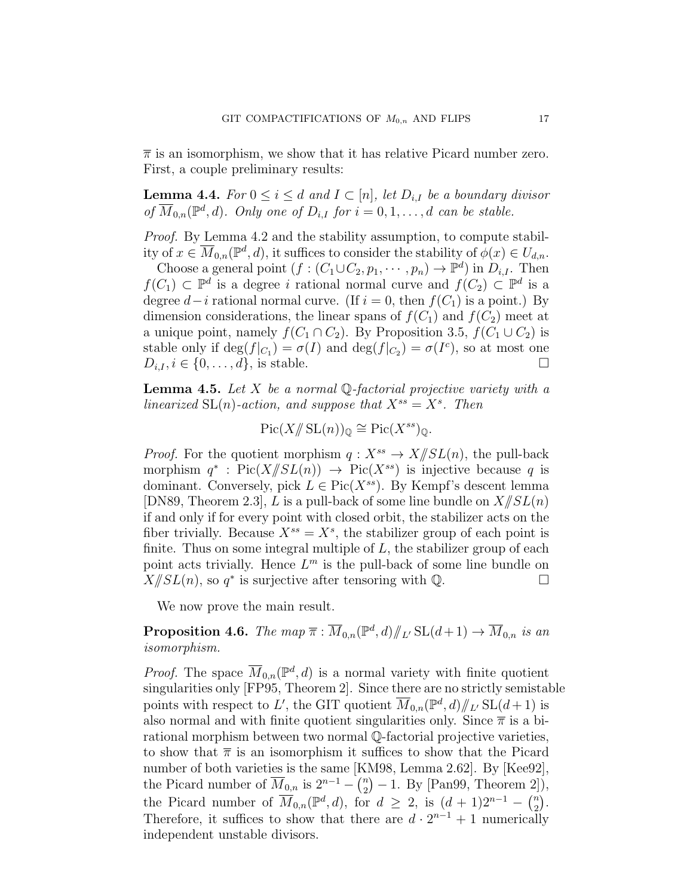$\bar{\pi}$  is an isomorphism, we show that it has relative Picard number zero. First, a couple preliminary results:

**Lemma 4.4.** For  $0 \leq i \leq d$  and  $I \subset [n]$ , let  $D_{i,I}$  be a boundary divisor of  $\overline{M}_{0,n}(\mathbb{P}^d, d)$ . Only one of  $D_{i,I}$  for  $i = 0, 1, \ldots, d$  can be stable.

Proof. By Lemma 4.2 and the stability assumption, to compute stability of  $x \in \overline{M}_{0,n}(\mathbb{P}^d,d)$ , it suffices to consider the stability of  $\phi(x) \in U_{d,n}$ .

Choose a general point  $(f:(C_1\cup C_2, p_1, \cdots, p_n)\to \mathbb{P}^d)$  in  $D_{i,I}$ . Then  $f(C_1) \subset \mathbb{P}^d$  is a degree i rational normal curve and  $f(C_2) \subset \mathbb{P}^d$  is a degree  $d-i$  rational normal curve. (If  $i = 0$ , then  $f(C_1)$  is a point.) By dimension considerations, the linear spans of  $f(C_1)$  and  $f(C_2)$  meet at a unique point, namely  $f(C_1 \cap C_2)$ . By Proposition 3.5,  $f(C_1 \cup C_2)$  is stable only if  $\deg(f|_{C_1}) = \sigma(I)$  and  $\deg(f|_{C_2}) = \sigma(I^c)$ , so at most one  $D_{i,I}, i \in \{0,\ldots,d\},\$  is stable.

**Lemma 4.5.** Let X be a normal  $\mathbb{Q}$ -factorial projective variety with a linearized  $SL(n)$ -action, and suppose that  $X^{ss} = X^s$ . Then

$$
\operatorname{Pic}(X/\!\!/ \operatorname{SL}(n))_{\mathbb{Q}} \cong \operatorname{Pic}(X^{ss})_{\mathbb{Q}}.
$$

*Proof.* For the quotient morphism  $q: X^{ss} \to X/\!\!/ SL(n)$ , the pull-back morphism  $q^*$ : Pic( $X/\!\!/ SL(n)$ )  $\rightarrow$  Pic( $X^{ss}$ ) is injective because q is dominant. Conversely, pick  $L \in Pic(X^{ss})$ . By Kempf's descent lemma [DN89, Theorem 2.3], L is a pull-back of some line bundle on  $X/\!\!/ SL(n)$ if and only if for every point with closed orbit, the stabilizer acts on the fiber trivially. Because  $X^{ss} = X^s$ , the stabilizer group of each point is finite. Thus on some integral multiple of  $L$ , the stabilizer group of each point acts trivially. Hence  $L^m$  is the pull-back of some line bundle on  $X/\!\!/ SL(n)$ , so  $q^*$  is surjective after tensoring with Q.

We now prove the main result.

**Proposition 4.6.** The map  $\overline{\pi}$  :  $\overline{M}_{0,n}(\mathbb{P}^d, d)/\mathbb{Z}$  SL $(d+1) \to \overline{M}_{0,n}$  is an isomorphism.

*Proof.* The space  $\overline{M}_{0,n}(\mathbb{P}^d, d)$  is a normal variety with finite quotient singularities only [FP95, Theorem 2]. Since there are no strictly semistable points with respect to L', the GIT quotient  $\overline{M}_{0,n}(\mathbb{P}^d,d)/\!\!/_{L'}\operatorname{SL}(d+1)$  is also normal and with finite quotient singularities only. Since  $\bar{\pi}$  is a birational morphism between two normal Q-factorial projective varieties, to show that  $\bar{\pi}$  is an isomorphism it suffices to show that the Picard number of both varieties is the same [KM98, Lemma 2.62]. By [Kee92], the Picard number of  $\overline{M}_{0,n}$  is  $2^{n-1} - \binom{n}{2}$  $_{2}^{n}$  $)-1.$  By [Pan99, Theorem 2]), the Picard number of  $\overline{M}_{0,n}(\mathbb{P}^d,d)$ , for  $d \geq 2$ , is  $(d+1)2^{n-1} - {n \choose 2}$  $\binom{n}{2}$ . Therefore, it suffices to show that there are  $d \cdot 2^{n-1} + 1$  numerically independent unstable divisors.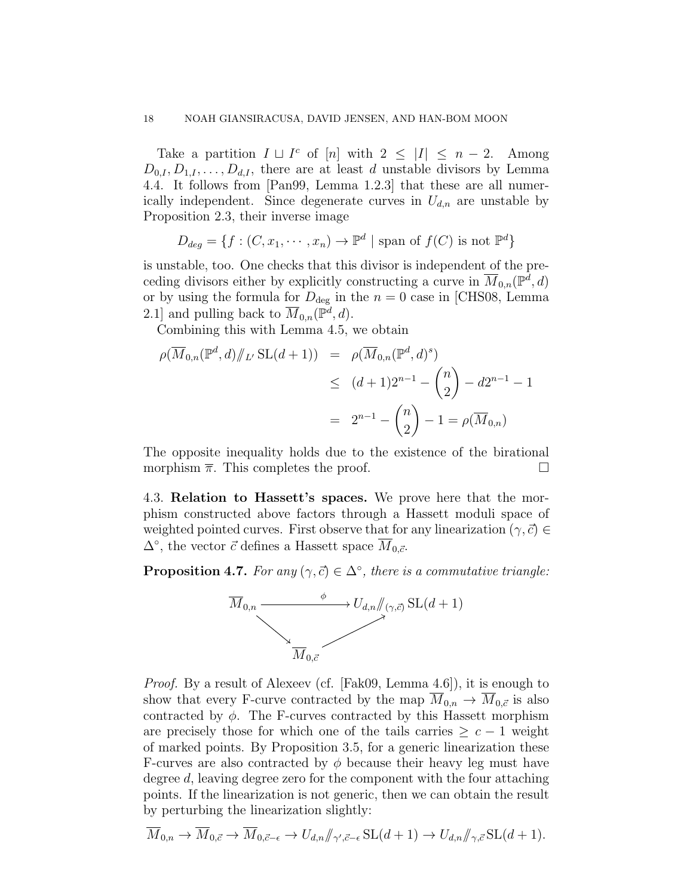Take a partition  $I \sqcup I^c$  of  $[n]$  with  $2 \leq |I| \leq n-2$ . Among  $D_{0,I}, D_{1,I}, \ldots, D_{d,I}$ , there are at least d unstable divisors by Lemma 4.4. It follows from [Pan99, Lemma 1.2.3] that these are all numerically independent. Since degenerate curves in  $U_{d,n}$  are unstable by Proposition 2.3, their inverse image

$$
D_{deg} = \{ f : (C, x_1, \cdots, x_n) \to \mathbb{P}^d \mid \text{span of } f(C) \text{ is not } \mathbb{P}^d \}
$$

is unstable, too. One checks that this divisor is independent of the preceding divisors either by explicitly constructing a curve in  $\overline{M}_{0,n}(\mathbb{P}^d,d)$ or by using the formula for  $D_{\text{deg}}$  in the  $n = 0$  case in [CHS08, Lemma 2.1] and pulling back to  $\overline{M}_{0,n}(\mathbb{P}^d,d)$ .

Combining this with Lemma 4.5, we obtain

$$
\rho(\overline{M}_{0,n}(\mathbb{P}^d, d)/\!\!/_{L'} SL(d+1)) = \rho(\overline{M}_{0,n}(\mathbb{P}^d, d)^s)
$$
  
\n
$$
\leq (d+1)2^{n-1} - {n \choose 2} - d2^{n-1} - 1
$$
  
\n
$$
= 2^{n-1} - {n \choose 2} - 1 = \rho(\overline{M}_{0,n})
$$

The opposite inequality holds due to the existence of the birational morphism  $\bar{\pi}$ . This completes the proof.

4.3. Relation to Hassett's spaces. We prove here that the morphism constructed above factors through a Hassett moduli space of weighted pointed curves. First observe that for any linearization ( $\gamma, \vec{c} \in$  $\Delta^{\circ}$ , the vector  $\vec{c}$  defines a Hassett space  $\overline{M}_{0,\vec{c}}$ .

**Proposition 4.7.** For any  $(\gamma, \vec{c}) \in \Delta^{\circ}$ , there is a commutative triangle:



Proof. By a result of Alexeev (cf. [Fak09, Lemma 4.6]), it is enough to show that every F-curve contracted by the map  $\overline{M}_{0,n} \to \overline{M}_{0,\vec{c}}$  is also contracted by  $\phi$ . The F-curves contracted by this Hassett morphism are precisely those for which one of the tails carries  $\geq c-1$  weight of marked points. By Proposition 3.5, for a generic linearization these F-curves are also contracted by  $\phi$  because their heavy leg must have degree d, leaving degree zero for the component with the four attaching points. If the linearization is not generic, then we can obtain the result by perturbing the linearization slightly:

$$
\overline{M}_{0,n} \to \overline{M}_{0,\vec{c}} \to \overline{M}_{0,\vec{c}-\epsilon} \to U_{d,n}/\!\!/_{\gamma',\vec{c}-\epsilon} \operatorname{SL}(d+1) \to U_{d,n}/\!\!/_{\gamma,\vec{c}} \operatorname{SL}(d+1).
$$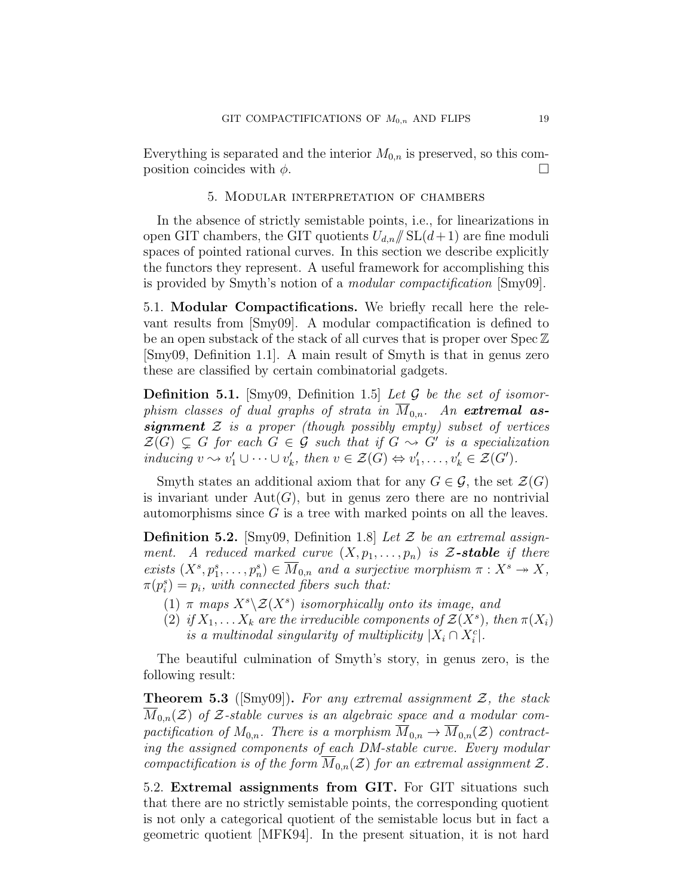Everything is separated and the interior  $M_{0,n}$  is preserved, so this composition coincides with  $\phi$ .

### 5. Modular interpretation of chambers

In the absence of strictly semistable points, i.e., for linearizations in open GIT chambers, the GIT quotients  $U_{d,n}$  SL( $d+1$ ) are fine moduli spaces of pointed rational curves. In this section we describe explicitly the functors they represent. A useful framework for accomplishing this is provided by Smyth's notion of a modular compactification [Smy09].

5.1. Modular Compactifications. We briefly recall here the relevant results from [Smy09]. A modular compactification is defined to be an open substack of the stack of all curves that is proper over Spec Z [Smy09, Definition 1.1]. A main result of Smyth is that in genus zero these are classified by certain combinatorial gadgets.

**Definition 5.1.** [Smy09, Definition 1.5] Let  $\mathcal G$  be the set of isomorphism classes of dual graphs of strata in  $\overline{M}_{0,n}$ . An extremal assignment  $\mathcal Z$  is a proper (though possibly empty) subset of vertices  $\mathcal{Z}(G) \subsetneq G$  for each  $G \in \mathcal{G}$  such that if  $G \rightsquigarrow G'$  is a specialization inducing  $v \rightsquigarrow v'_1 \cup \cdots \cup v'_k$ , then  $v \in \mathcal{Z}(G) \Leftrightarrow v'_1, \ldots, v'_k \in \mathcal{Z}(G')$ .

Smyth states an additional axiom that for any  $G \in \mathcal{G}$ , the set  $\mathcal{Z}(G)$ is invariant under  $Aut(G)$ , but in genus zero there are no nontrivial automorphisms since  $G$  is a tree with marked points on all the leaves.

**Definition 5.2.** [Smy09, Definition 1.8] Let  $\mathcal{Z}$  be an extremal assignment. A reduced marked curve  $(X, p_1, \ldots, p_n)$  is Z-stable if there exists  $(X^s, p_1^s, \ldots, p_n^s) \in \overline{M}_{0,n}$  and a surjective morphism  $\pi : X^s \to X$ ,  $\pi(p_i^s) = p_i$ , with connected fibers such that:

- (1)  $\pi$  maps  $X^s \setminus \mathcal{Z}(X^s)$  isomorphically onto its image, and
- (2) if  $X_1, \ldots X_k$  are the irreducible components of  $\mathcal{Z}(X^s)$ , then  $\pi(X_i)$ is a multinodal singularity of multiplicity  $|X_i \cap X_i^c|$ .

The beautiful culmination of Smyth's story, in genus zero, is the following result:

**Theorem 5.3** ([Smy09]). For any extremal assignment  $\mathcal{Z}$ , the stack  $\overline{M}_{0,n}(\mathcal{Z})$  of Z-stable curves is an algebraic space and a modular compactification of  $M_{0,n}$ . There is a morphism  $\overline{M}_{0,n} \to \overline{M}_{0,n}(\mathcal{Z})$  contracting the assigned components of each DM-stable curve. Every modular compactification is of the form  $\overline{M}_{0,n}(\mathcal{Z})$  for an extremal assignment  $\mathcal{Z}$ .

5.2. Extremal assignments from GIT. For GIT situations such that there are no strictly semistable points, the corresponding quotient is not only a categorical quotient of the semistable locus but in fact a geometric quotient [MFK94]. In the present situation, it is not hard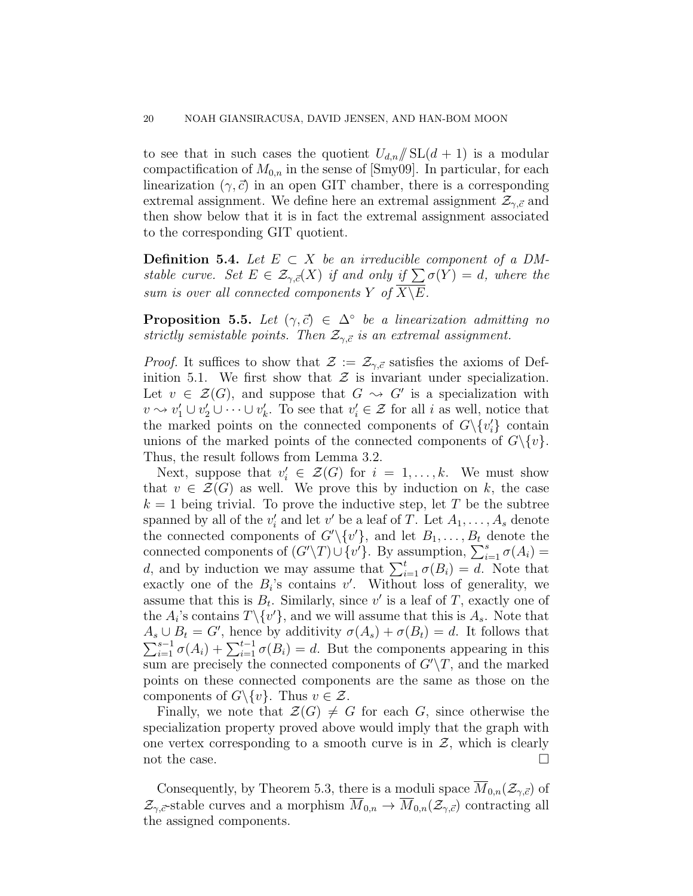to see that in such cases the quotient  $U_{d,n}/\!\!/ SL(d+1)$  is a modular compactification of  $M_{0,n}$  in the sense of [Smy09]. In particular, for each linearization  $(\gamma, \vec{c})$  in an open GIT chamber, there is a corresponding extremal assignment. We define here an extremal assignment  $\mathcal{Z}_{\gamma,\vec{c}}$  and then show below that it is in fact the extremal assignment associated to the corresponding GIT quotient.

Definition 5.4. Let  $E \subset X$  be an irreducible component of a DMstable curve. Set  $E \in \mathcal{Z}_{\gamma, \vec{c}}(X)$  if and only if  $\sum \sigma(Y) = d$ , where the sum is over all connected components Y of  $\overline{X\setminus E}$ .

**Proposition 5.5.** Let  $(\gamma, \vec{c}) \in \Delta^{\circ}$  be a linearization admitting no strictly semistable points. Then  $\mathcal{Z}_{\gamma,\vec{c}}$  is an extremal assignment.

*Proof.* It suffices to show that  $\mathcal{Z} := \mathcal{Z}_{\gamma, \vec{c}}$  satisfies the axioms of Definition 5.1. We first show that  $\mathcal Z$  is invariant under specialization. Let  $v \in \mathcal{Z}(G)$ , and suppose that  $G \rightsquigarrow G'$  is a specialization with  $v \rightsquigarrow v'_1 \cup v'_2 \cup \cdots \cup v'_k$ . To see that  $v'_i \in \mathcal{Z}$  for all i as well, notice that the marked points on the connected components of  $G \setminus \{v_i'\}$  contain unions of the marked points of the connected components of  $G\backslash \{v\}$ . Thus, the result follows from Lemma 3.2.

Next, suppose that  $v'_i \in \mathcal{Z}(G)$  for  $i = 1, ..., k$ . We must show that  $v \in \mathcal{Z}(G)$  as well. We prove this by induction on k, the case  $k = 1$  being trivial. To prove the inductive step, let T be the subtree spanned by all of the  $v'_i$  and let  $v'$  be a leaf of T. Let  $A_1, \ldots, A_s$  denote the connected components of  $G' \setminus \{v'\}$ , and let  $B_1, \ldots, B_t$  denote the connected components of  $(G'\Y)\cup \{v'\}$ . By assumption,  $\sum_{i=1}^s \sigma(A_i) =$ d, and by induction we may assume that  $\sum_{i=1}^{t} \sigma(B_i) = d$ . Note that exactly one of the  $B_i$ 's contains  $v'$ . Without loss of generality, we assume that this is  $B_t$ . Similarly, since v' is a leaf of T, exactly one of the  $A_i$ 's contains  $T \setminus \{v'\}$ , and we will assume that this is  $A_s$ . Note that  $A_s \cup B_t = G'$ , hence by additivity  $\sigma(A_s) + \sigma(B_t) = d$ . It follows that  $\sum_{i=1}^{s-1} \sigma(A_i) + \sum_{i=1}^{t-1} \sigma(B_i) = d$ . But the components appearing in this sum are precisely the connected components of  $G'\T$ , and the marked points on these connected components are the same as those on the components of  $G \backslash \{v\}$ . Thus  $v \in \mathcal{Z}$ .

Finally, we note that  $\mathcal{Z}(G) \neq G$  for each G, since otherwise the specialization property proved above would imply that the graph with one vertex corresponding to a smooth curve is in  $\mathcal{Z}$ , which is clearly not the case.  $\Box$ 

Consequently, by Theorem 5.3, there is a moduli space  $M_{0,n}(\mathcal{Z}_{\gamma,\vec{c}})$  of  $\mathcal{Z}_{\gamma,\vec{c}}$ -stable curves and a morphism  $\overline{M}_{0,n} \to \overline{M}_{0,n}(\mathcal{Z}_{\gamma,\vec{c}})$  contracting all the assigned components.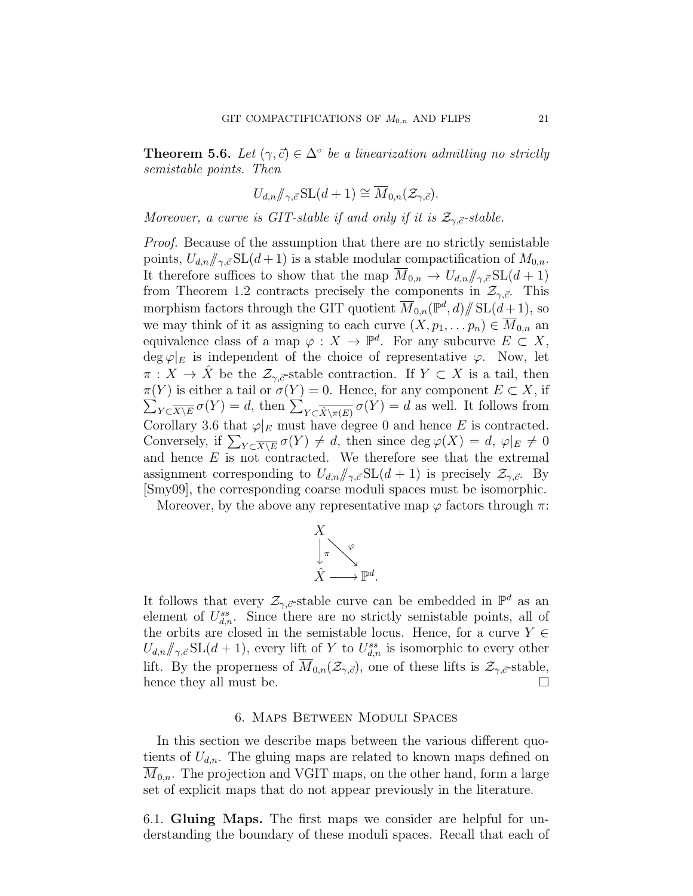**Theorem 5.6.** Let  $(\gamma, \vec{c}) \in \Delta^{\circ}$  be a linearization admitting no strictly semistable points. Then

$$
U_{d,n}/\hspace{-0.14cm}/_{\gamma,\vec{c}}\mathrm{SL}(d+1) \cong \overline{M}_{0,n}(\mathcal{Z}_{\gamma,\vec{c}}).
$$

Moreover, a curve is GIT-stable if and only if it is  $\mathcal{Z}_{\gamma,\vec{c}}$ -stable.

Proof. Because of the assumption that there are no strictly semistable points,  $U_{d,n}/\!\!/_{\gamma,\vec{c}}\mathrm{SL}(d+1)$  is a stable modular compactification of  $M_{0,n}$ . It therefore suffices to show that the map  $\overline{M}_{0,n} \to U_{d,n}/\!\!/_{\gamma,\vec{c}}\mathrm{SL}(d+1)$ from Theorem 1.2 contracts precisely the components in  $\mathcal{Z}_{\gamma,\vec{c}}$ . This morphism factors through the GIT quotient  $\overline{M}_{0,n}(\mathbb{P}^d, d)/\!\!/ \operatorname{SL}(d+1)$ , so we may think of it as assigning to each curve  $(X, p_1, \ldots p_n) \in \overline{M}_{0,n}$  and equivalence class of a map  $\varphi: X \to \mathbb{P}^d$ . For any subcurve  $E \subset X$ , deg  $\varphi|_E$  is independent of the choice of representative  $\varphi$ . Now, let  $\pi: X \to X$  be the  $\mathcal{Z}_{\gamma,\bar{c}}$ -stable contraction. If  $Y \subset X$  is a tail, then  $\pi(Y)$  is either a tail or  $\sigma(Y) = 0$ . Hence, for any component  $E \subset X$ , if  $\sum_{Y \subset \overline{X \setminus E}} \sigma(Y) = d$ , then  $\sum_{Y \subset \overline{\hat{X} \setminus \pi(E)}} \sigma(Y) = d$  as well. It follows from Corollary 3.6 that  $\varphi|_E$  must have degree 0 and hence E is contracted. Conversely, if  $\sum_{Y \subset \overline{X \setminus E}} \sigma(Y) \neq d$ , then since  $\deg \varphi(X) = d$ ,  $\varphi|_E \neq 0$ and hence  $E$  is not contracted. We therefore see that the extremal assignment corresponding to  $U_{d,n}/\gamma_{\sigma} \in SL(d+1)$  is precisely  $\mathcal{Z}_{\gamma,\vec{c}}$ . By [Smy09], the corresponding coarse moduli spaces must be isomorphic.

Moreover, by the above any representative map  $\varphi$  factors through  $\pi$ :



It follows that every  $\mathcal{Z}_{\gamma,\vec{c}}$ -stable curve can be embedded in  $\mathbb{P}^d$  as an element of  $U_{d,n}^{ss}$ . Since there are no strictly semistable points, all of the orbits are closed in the semistable locus. Hence, for a curve  $Y \in$  $U_{d,n}/\!\!/_{\gamma,\vec{c}}\,SL(d+1)$ , every lift of Y to  $U_{d,n}^{ss}$  is isomorphic to every other lift. By the properness of  $\overline{M}_{0,n}(\mathcal{Z}_{\gamma,\vec{c}})$ , one of these lifts is  $\mathcal{Z}_{\gamma,\vec{c}}$ -stable, hence they all must be.  $\Box$ 

# 6. Maps Between Moduli Spaces

In this section we describe maps between the various different quotients of  $U_{d,n}$ . The gluing maps are related to known maps defined on  $M_{0,n}$ . The projection and VGIT maps, on the other hand, form a large set of explicit maps that do not appear previously in the literature.

6.1. Gluing Maps. The first maps we consider are helpful for understanding the boundary of these moduli spaces. Recall that each of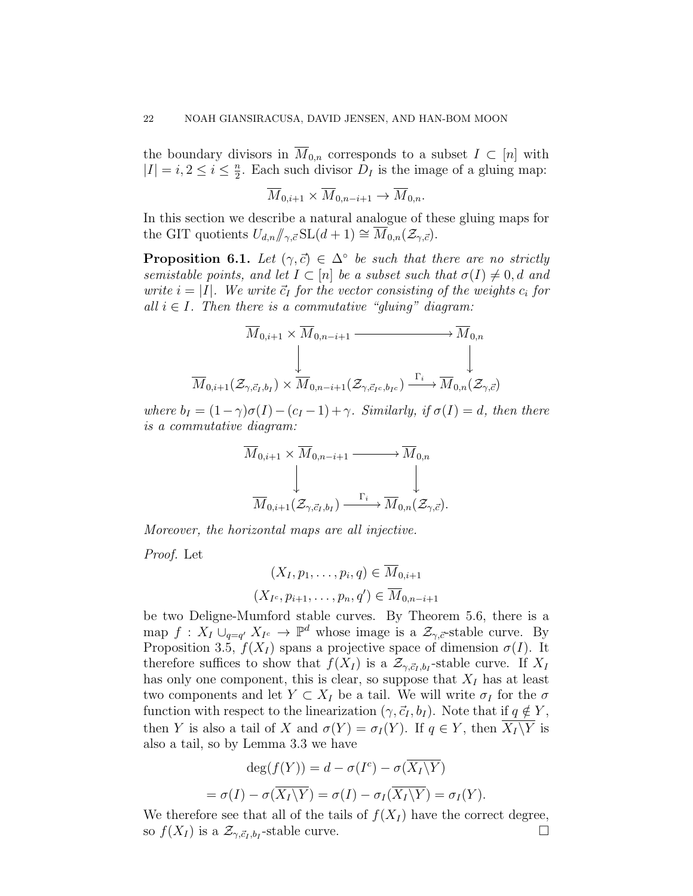the boundary divisors in  $\overline{M}_{0,n}$  corresponds to a subset  $I \subset [n]$  with  $|I|=i, 2\leq i\leq \frac{n}{2}$  $\frac{n}{2}$ . Each such divisor  $D_I$  is the image of a gluing map:

$$
\overline{M}_{0,i+1} \times \overline{M}_{0,n-i+1} \to \overline{M}_{0,n}.
$$

In this section we describe a natural analogue of these gluing maps for the GIT quotients  $U_{d,n}/\!\!/_{\gamma,\vec{c}}\mathrm{SL}(d+1) \cong M_{0,n}(\mathcal{Z}_{\gamma,\vec{c}}).$ 

**Proposition 6.1.** Let  $(\gamma, \vec{c}) \in \Delta^{\circ}$  be such that there are no strictly semistable points, and let  $I \subset [n]$  be a subset such that  $\sigma(I) \neq 0, d$  and write  $i = |I|$ . We write  $\vec{c}_I$  for the vector consisting of the weights  $c_i$  for all  $i \in I$ . Then there is a commutative "gluing" diagram:

$$
\overline{M}_{0,i+1} \times \overline{M}_{0,n-i+1} \xrightarrow{\qquad \qquad } \overline{M}_{0,n}
$$
\n
$$
\downarrow \qquad \qquad \downarrow
$$
\n
$$
\overline{M}_{0,i+1}(\mathcal{Z}_{\gamma,\vec{c}_I,b_I}) \times \overline{M}_{0,n-i+1}(\mathcal{Z}_{\gamma,\vec{c}_Ic,b_{I}c}) \xrightarrow{\Gamma_i} \overline{M}_{0,n}(\mathcal{Z}_{\gamma,\vec{c}})
$$

where  $b_I = (1 - \gamma)\sigma(I) - (c_I - 1) + \gamma$ . Similarly, if  $\sigma(I) = d$ , then there is a commutative diagram:

$$
\overline{M}_{0,i+1} \times \overline{M}_{0,n-i+1} \longrightarrow \overline{M}_{0,n}
$$
\n
$$
\downarrow \qquad \qquad \downarrow
$$
\n
$$
\overline{M}_{0,i+1}(\mathcal{Z}_{\gamma,\vec{c}_I,b_I}) \xrightarrow{\Gamma_i} \overline{M}_{0,n}(\mathcal{Z}_{\gamma,\vec{c}}).
$$

Moreover, the horizontal maps are all injective.

Proof. Let

$$
(X_I, p_1, \dots, p_i, q) \in \overline{M}_{0,i+1}
$$

$$
(X_{I^c}, p_{i+1}, \dots, p_n, q') \in \overline{M}_{0,n-i+1}
$$

be two Deligne-Mumford stable curves. By Theorem 5.6, there is a map  $f: X_I \cup_{q=q'} X_{I^c} \to \mathbb{P}^d$  whose image is a  $\mathcal{Z}_{\gamma, \vec{c}}$ -stable curve. By Proposition 3.5,  $f(X_I)$  spans a projective space of dimension  $\sigma(I)$ . It therefore suffices to show that  $f(X_I)$  is a  $\mathcal{Z}_{\gamma,\vec{c}_I,b_I}$ -stable curve. If  $X_I$ has only one component, this is clear, so suppose that  $X_I$  has at least two components and let  $Y \subset X_I$  be a tail. We will write  $\sigma_I$  for the  $\sigma$ function with respect to the linearization  $(\gamma, \vec{c}_I, b_I)$ . Note that if  $q \notin Y$ , then Y is also a tail of X and  $\sigma(Y) = \sigma_I(Y)$ . If  $q \in Y$ , then  $\overline{X_I \backslash Y}$  is also a tail, so by Lemma 3.3 we have

$$
\deg(f(Y)) = d - \sigma(I^c) - \sigma(\overline{X_I \setminus Y})
$$

$$
= \sigma(I) - \sigma(\overline{X_I \setminus Y}) = \sigma(I) - \sigma_I(\overline{X_I \setminus Y}) = \sigma_I(Y).
$$

We therefore see that all of the tails of  $f(X_I)$  have the correct degree, so  $f(X_I)$  is a  $\mathcal{Z}_{\gamma,\vec{c}_I,b_I}$ -stable curve.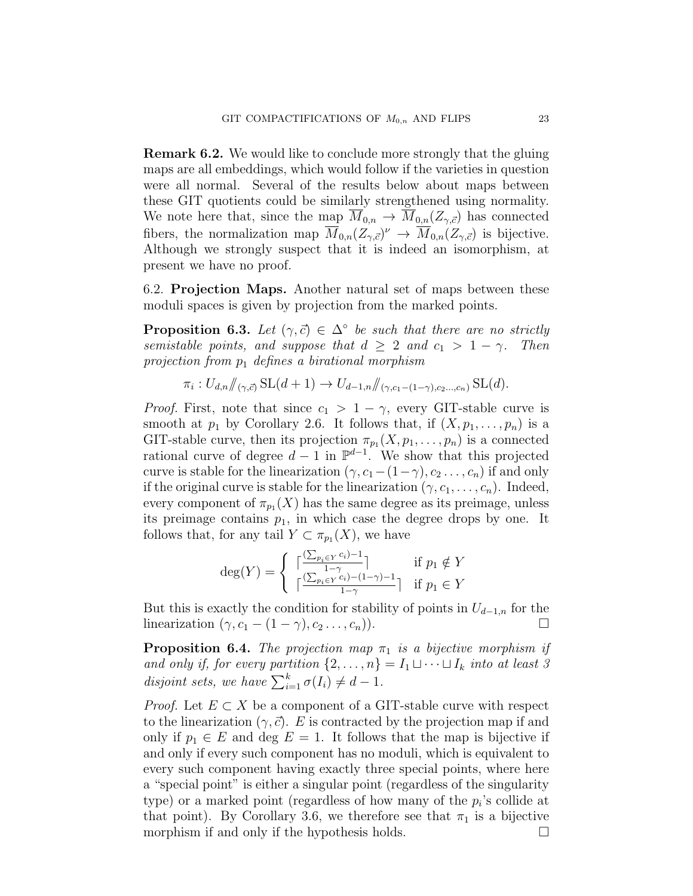Remark 6.2. We would like to conclude more strongly that the gluing maps are all embeddings, which would follow if the varieties in question were all normal. Several of the results below about maps between these GIT quotients could be similarly strengthened using normality. We note here that, since the map  $\overline{M}_{0,n} \to \overline{M}_{0,n}(Z_{\gamma,\vec{c}})$  has connected fibers, the normalization map  $\overline{M}_{0,n}(Z_{\gamma,\vec{c}})^{\nu} \to \overline{M}_{0,n}(Z_{\gamma,\vec{c}})$  is bijective. Although we strongly suspect that it is indeed an isomorphism, at present we have no proof.

6.2. Projection Maps. Another natural set of maps between these moduli spaces is given by projection from the marked points.

**Proposition 6.3.** Let  $(\gamma, \vec{c}) \in \Delta^{\circ}$  be such that there are no strictly semistable points, and suppose that  $d \geq 2$  and  $c_1 > 1 - \gamma$ . Then projection from  $p_1$  defines a birational morphism

$$
\pi_i: U_{d,n} / \! \! \! /_{(\gamma,\vec{c})} \operatorname{SL}(d+1) \to U_{d-1,n} / \! \! \! /_{(\gamma,c_1-(1-\gamma),c_2...c_n)} \operatorname{SL}(d).
$$

*Proof.* First, note that since  $c_1 > 1 - \gamma$ , every GIT-stable curve is smooth at  $p_1$  by Corollary 2.6. It follows that, if  $(X, p_1, \ldots, p_n)$  is a GIT-stable curve, then its projection  $\pi_{p_1}(X, p_1, \ldots, p_n)$  is a connected rational curve of degree  $d-1$  in  $\mathbb{P}^{d-1}$ . We show that this projected curve is stable for the linearization  $(\gamma, c_1-(1-\gamma), c_2 \ldots, c_n)$  if and only if the original curve is stable for the linearization  $(\gamma, c_1, \ldots, c_n)$ . Indeed, every component of  $\pi_{p_1}(X)$  has the same degree as its preimage, unless its preimage contains  $p_1$ , in which case the degree drops by one. It follows that, for any tail  $Y \subset \pi_{p_1}(X)$ , we have

$$
\deg(Y) = \begin{cases} \lceil \frac{(\sum_{p_i \in Y} c_i) - 1}{1 - \gamma} \rceil & \text{if } p_1 \notin Y \\ \lceil \frac{(\sum_{p_i \in Y} c_i) - (1 - \gamma) - 1}{1 - \gamma} \rceil & \text{if } p_1 \in Y \end{cases}
$$

But this is exactly the condition for stability of points in  $U_{d-1,n}$  for the linearization  $(\gamma, c_1 - (1 - \gamma), c_2 \dots, c_n)$ .

**Proposition 6.4.** The projection map  $\pi_1$  is a bijective morphism if and only if, for every partition  $\{2, \ldots, n\} = I_1 \sqcup \cdots \sqcup I_k$  into at least 3 disjoint sets, we have  $\sum_{i=1}^{k} \sigma(I_i) \neq d-1$ .

*Proof.* Let  $E \subset X$  be a component of a GIT-stable curve with respect to the linearization  $(\gamma, \vec{c})$ . E is contracted by the projection map if and only if  $p_1 \in E$  and deg  $E = 1$ . It follows that the map is bijective if and only if every such component has no moduli, which is equivalent to every such component having exactly three special points, where here a "special point" is either a singular point (regardless of the singularity type) or a marked point (regardless of how many of the  $p_i$ 's collide at that point). By Corollary 3.6, we therefore see that  $\pi_1$  is a bijective morphism if and only if the hypothesis holds.  $\Box$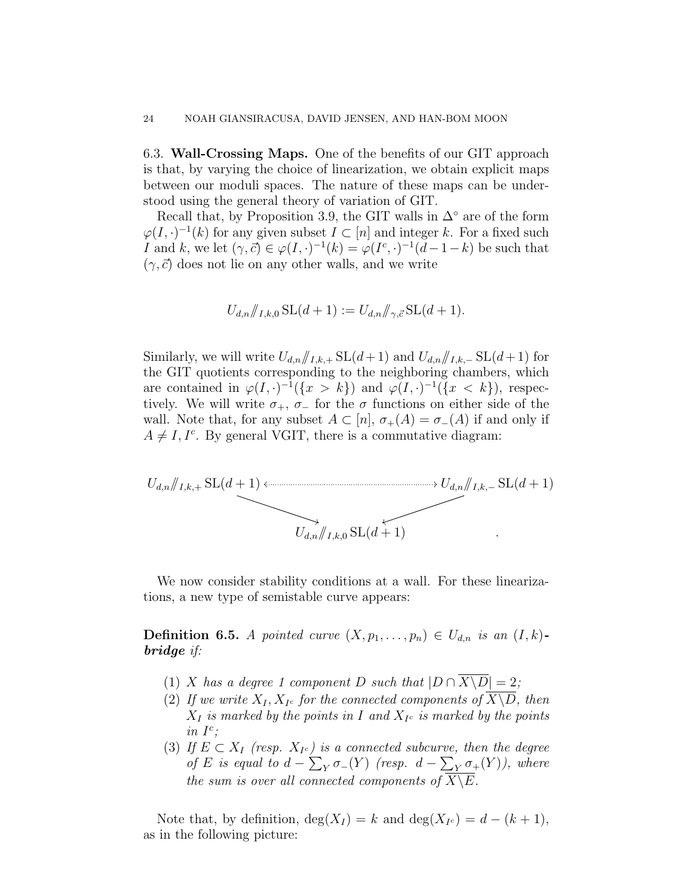6.3. Wall-Crossing Maps. One of the benefits of our GIT approach is that, by varying the choice of linearization, we obtain explicit maps between our moduli spaces. The nature of these maps can be understood using the general theory of variation of GIT.

Recall that, by Proposition 3.9, the GIT walls in  $\Delta^{\circ}$  are of the form  $\varphi(I, \cdot)^{-1}(k)$  for any given subset  $I \subset [n]$  and integer k. For a fixed such I and k, we let  $(\gamma, \vec{c}) \in \varphi(I, \cdot)^{-1}(k) = \varphi(I^c, \cdot)^{-1}(d-1-k)$  be such that  $(\gamma,\vec{c})$  does not lie on any other walls, and we write

$$
U_{d,n} / \mathcal{J}_{I,k,0} \, SL(d+1) := U_{d,n} / \mathcal{J}_{\gamma,\vec{c}} \, SL(d+1).
$$

Similarly, we will write  $U_{d,n}/I_{k+1}$ , SL $(d+1)$  and  $U_{d,n}/I_{k-1}$ , SL $(d+1)$  for the GIT quotients corresponding to the neighboring chambers, which are contained in  $\varphi(I, \cdot)^{-1}(\{x > k\})$  and  $\varphi(I, \cdot)^{-1}(\{x < k\})$ , respectively. We will write  $\sigma_+$ ,  $\sigma_-$  for the  $\sigma$  functions on either side of the wall. Note that, for any subset  $A \subset [n], \sigma_+(A) = \sigma_-(A)$  if and only if  $A \neq I, I^c$ . By general VGIT, there is a commutative diagram:



We now consider stability conditions at a wall. For these linearizations, a new type of semistable curve appears:

**Definition 6.5.** A pointed curve  $(X, p_1, \ldots, p_n) \in U_{d,n}$  is an  $(I, k)$ bridge if:

- (1) X has a degree 1 component D such that  $|D \cap \overline{X \setminus D}| = 2$ ;
- (2) If we write  $X_I, X_{I^c}$  for the connected components of  $X \backslash D$ , then  $X_I$  is marked by the points in I and  $X_{I^c}$  is marked by the points in  $I^c$ ;
- (3) If  $E \subset X_I$  (resp.  $X_{I^c}$ ) is a connected subcurve, then the degree of E is equal to  $d - \sum_{Y} \sigma_{-}(Y)$  (resp.  $d - \sum_{Y} \sigma_{+}(Y)$ ), where the sum is over all connected components of  $X\backslash E$ .

Note that, by definition,  $deg(X_I) = k$  and  $deg(X_{I^c}) = d - (k+1)$ , as in the following picture: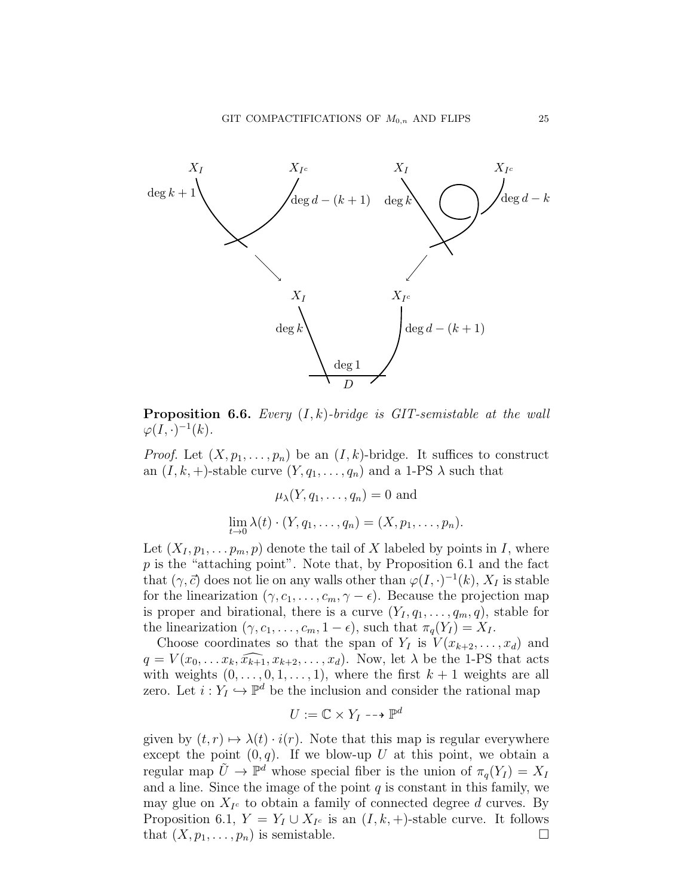

**Proposition 6.6.** Every  $(I, k)$ -bridge is GIT-semistable at the wall  $\varphi(I,\cdot)^{-1}(k)$ .

*Proof.* Let  $(X, p_1, \ldots, p_n)$  be an  $(I, k)$ -bridge. It suffices to construct an  $(I, k, +)$ -stable curve  $(Y, q_1, \ldots, q_n)$  and a 1-PS  $\lambda$  such that

$$
\mu_{\lambda}(Y, q_1, \dots, q_n) = 0 \text{ and}
$$
  

$$
\lim_{t \to 0} \lambda(t) \cdot (Y, q_1, \dots, q_n) = (X, p_1, \dots, p_n).
$$

Let  $(X_I, p_1, \ldots, p_m, p)$  denote the tail of X labeled by points in I, where  $p$  is the "attaching point". Note that, by Proposition 6.1 and the fact that  $(\gamma, \vec{c})$  does not lie on any walls other than  $\varphi(I, \cdot)^{-1}(k)$ ,  $X_I$  is stable for the linearization  $(\gamma, c_1, \ldots, c_m, \gamma - \epsilon)$ . Because the projection map is proper and birational, there is a curve  $(Y_I, q_1, \ldots, q_m, q)$ , stable for the linearization  $(\gamma, c_1, \ldots, c_m, 1 - \epsilon)$ , such that  $\pi_q(Y_I) = X_I$ .

Choose coordinates so that the span of  $Y_I$  is  $V(x_{k+2},...,x_d)$  and  $q = V(x_0, \ldots, x_k, \widehat{x_{k+1}}, x_{k+2}, \ldots, x_d)$ . Now, let  $\lambda$  be the 1-PS that acts with weights  $(0, \ldots, 0, 1, \ldots, 1)$ , where the first  $k + 1$  weights are all zero. Let  $i: Y_I \hookrightarrow \mathbb{P}^d$  be the inclusion and consider the rational map

$$
U:=\mathbb{C}\times Y_I\dashrightarrow \mathbb{P}^d
$$

given by  $(t, r) \mapsto \lambda(t) \cdot i(r)$ . Note that this map is regular everywhere except the point  $(0, q)$ . If we blow-up U at this point, we obtain a regular map  $\tilde{U} \to \mathbb{P}^d$  whose special fiber is the union of  $\pi_q(Y_I) = X_I$ and a line. Since the image of the point  $q$  is constant in this family, we may glue on  $X_{I^c}$  to obtain a family of connected degree d curves. By Proposition 6.1,  $Y = Y_I \cup X_{I^c}$  is an  $(I, k, +)$ -stable curve. It follows that  $(X, p_1, \ldots, p_n)$  is semistable.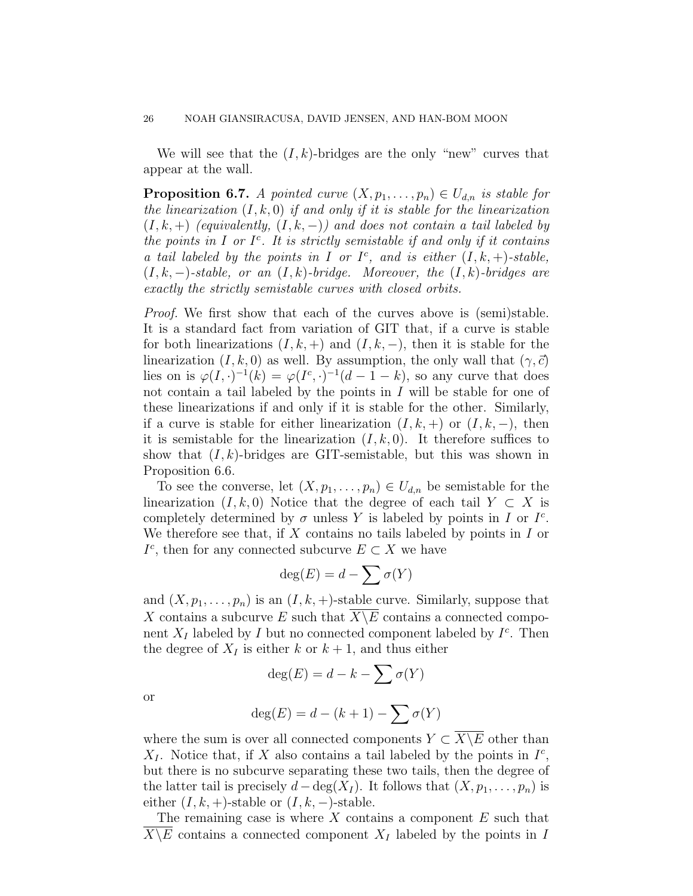We will see that the  $(I, k)$ -bridges are the only "new" curves that appear at the wall.

**Proposition 6.7.** A pointed curve  $(X, p_1, \ldots, p_n) \in U_{d,n}$  is stable for the linearization  $(I, k, 0)$  if and only if it is stable for the linearization  $(I, k, +)$  (equivalently,  $(I, k, -)$ ) and does not contain a tail labeled by the points in I or  $I^c$ . It is strictly semistable if and only if it contains a tail labeled by the points in I or  $I^c$ , and is either  $(I, k, +)$ -stable,  $(I, k, -)$ -stable, or an  $(I, k)$ -bridge. Moreover, the  $(I, k)$ -bridges are exactly the strictly semistable curves with closed orbits.

Proof. We first show that each of the curves above is (semi)stable. It is a standard fact from variation of GIT that, if a curve is stable for both linearizations  $(I, k, +)$  and  $(I, k, -)$ , then it is stable for the linearization  $(I, k, 0)$  as well. By assumption, the only wall that  $(\gamma, \vec{c})$ lies on is  $\varphi(I, \cdot)^{-1}(k) = \varphi(I^c, \cdot)^{-1}(d-1-k)$ , so any curve that does not contain a tail labeled by the points in  $I$  will be stable for one of these linearizations if and only if it is stable for the other. Similarly, if a curve is stable for either linearization  $(I, k, +)$  or  $(I, k, -)$ , then it is semistable for the linearization  $(I, k, 0)$ . It therefore suffices to show that  $(I, k)$ -bridges are GIT-semistable, but this was shown in Proposition 6.6.

To see the converse, let  $(X, p_1, \ldots, p_n) \in U_{d,n}$  be semistable for the linearization  $(I, k, 0)$  Notice that the degree of each tail  $Y \subset X$  is completely determined by  $\sigma$  unless Y is labeled by points in I or  $I^c$ . We therefore see that, if  $X$  contains no tails labeled by points in  $I$  or  $I^c$ , then for any connected subcurve  $E \subset X$  we have

$$
\deg(E)=d-\sum \sigma(Y)
$$

and  $(X, p_1, \ldots, p_n)$  is an  $(I, k, +)$ -stable curve. Similarly, suppose that X contains a subcurve E such that  $X\backslash E$  contains a connected component  $X_I$  labeled by I but no connected component labeled by  $I^c$ . Then the degree of  $X_I$  is either k or  $k+1$ , and thus either

$$
\deg(E) = d - k - \sum \sigma(Y)
$$

or

$$
deg(E) = d - (k+1) - \sum \sigma(Y)
$$

where the sum is over all connected components  $Y \subset \overline{X \setminus E}$  other than  $X_I$ . Notice that, if X also contains a tail labeled by the points in  $I^c$ , but there is no subcurve separating these two tails, then the degree of the latter tail is precisely  $d - \deg(X_I)$ . It follows that  $(X, p_1, \ldots, p_n)$  is either  $(I, k, +)$ -stable or  $(I, k, -)$ -stable.

The remaining case is where  $X$  contains a component  $E$  such that  $\overline{X \backslash E}$  contains a connected component  $X_I$  labeled by the points in I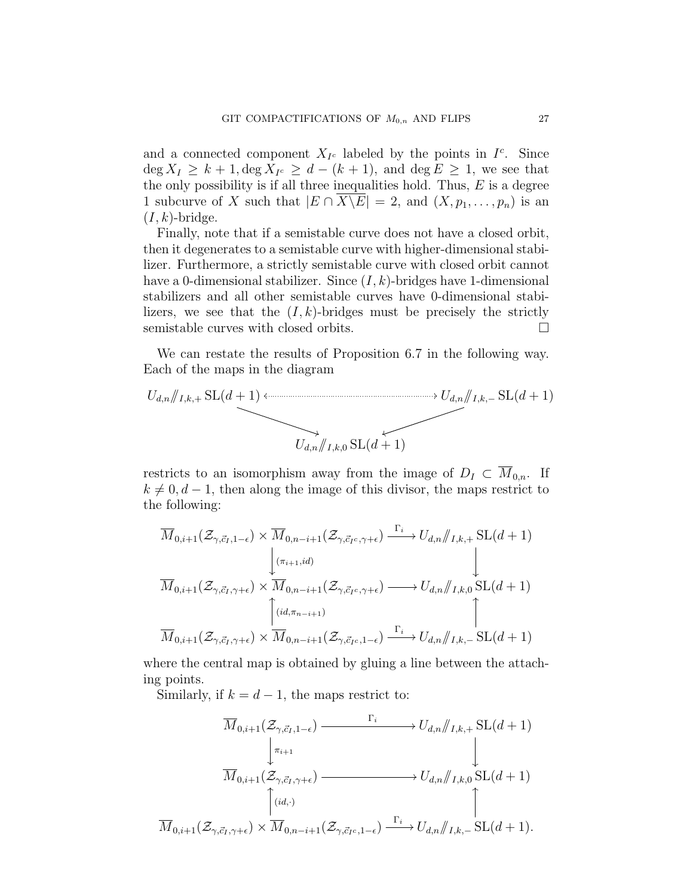and a connected component  $X_{I^c}$  labeled by the points in  $I^c$ . Since  $\deg X_I \geq k+1, \deg X_{I^c} \geq d-(k+1)$ , and  $\deg E \geq 1$ , we see that the only possibility is if all three inequalities hold. Thus,  $E$  is a degree 1 subcurve of X such that  $|E \cap \overline{X \backslash E}| = 2$ , and  $(X, p_1, \ldots, p_n)$  is an  $(I, k)$ -bridge.

Finally, note that if a semistable curve does not have a closed orbit, then it degenerates to a semistable curve with higher-dimensional stabilizer. Furthermore, a strictly semistable curve with closed orbit cannot have a 0-dimensional stabilizer. Since  $(I, k)$ -bridges have 1-dimensional stabilizers and all other semistable curves have 0-dimensional stabilizers, we see that the  $(I, k)$ -bridges must be precisely the strictly semistable curves with closed orbits.  $\Box$ 

We can restate the results of Proposition 6.7 in the following way. Each of the maps in the diagram

$$
U_{d,n}/I_{k+1} \text{SL}(d+1) \longleftrightarrow U_{d,n}/I_{k-1} \text{SL}(d+1)
$$
  

$$
U_{d,n}/I_{k,0} \text{SL}(d+1)
$$

restricts to an isomorphism away from the image of  $D_I \subset \overline{M}_{0,n}$ . If  $k \neq 0, d-1$ , then along the image of this divisor, the maps restrict to the following:

$$
\overline{M}_{0,i+1}(\mathcal{Z}_{\gamma,\vec{c}_I,1-\epsilon}) \times \overline{M}_{0,n-i+1}(\mathcal{Z}_{\gamma,\vec{c}_I,\gamma+\epsilon}) \xrightarrow{\Gamma_i} U_{d,n} / I_{k,+} \text{SL}(d+1)
$$
\n
$$
\overline{M}_{0,i+1}(\mathcal{Z}_{\gamma,\vec{c}_I,\gamma+\epsilon}) \times \overline{M}_{0,n-i+1}(\mathcal{Z}_{\gamma,\vec{c}_I,\gamma+\epsilon}) \longrightarrow U_{d,n} / I_{k,0} \text{SL}(d+1)
$$
\n
$$
\overbrace{\overbrace{\left(\text{id},\pi_{n-i+1}\right)}^{(id,\pi_{n-i+1})}}^{\left(\text{id},\pi_{n-i+1},\pi_{0,n-i+1},\mathcal{Z}_{\gamma,\vec{c}_I,\gamma+\epsilon}) \longrightarrow U_{d,n} / I_{k,0} \text{SL}(d+1)
$$

where the central map is obtained by gluing a line between the attaching points.

Similarly, if  $k = d - 1$ , the maps restrict to:

$$
\overline{M}_{0,i+1}(\mathcal{Z}_{\gamma,\vec{c}_I,1-\epsilon}) \xrightarrow{\Gamma_i} U_{d,n}/I_{k,+} \text{SL}(d+1)
$$
\n
$$
\downarrow \overline{M}_{0,i+1}(\mathcal{Z}_{\gamma,\vec{c}_I,\gamma+\epsilon}) \xrightarrow{\Gamma_i} U_{d,n}/I_{k,0} \text{SL}(d+1)
$$
\n
$$
\uparrow \qquad \qquad \downarrow
$$
\n
$$
\overline{M}_{0,i+1}(\mathcal{Z}_{\gamma,\vec{c}_I,\gamma+\epsilon}) \times \overline{M}_{0,n-i+1}(\mathcal{Z}_{\gamma,\vec{c}_I,c,1-\epsilon}) \xrightarrow{\Gamma_i} U_{d,n}/I_{k,-} \text{SL}(d+1).
$$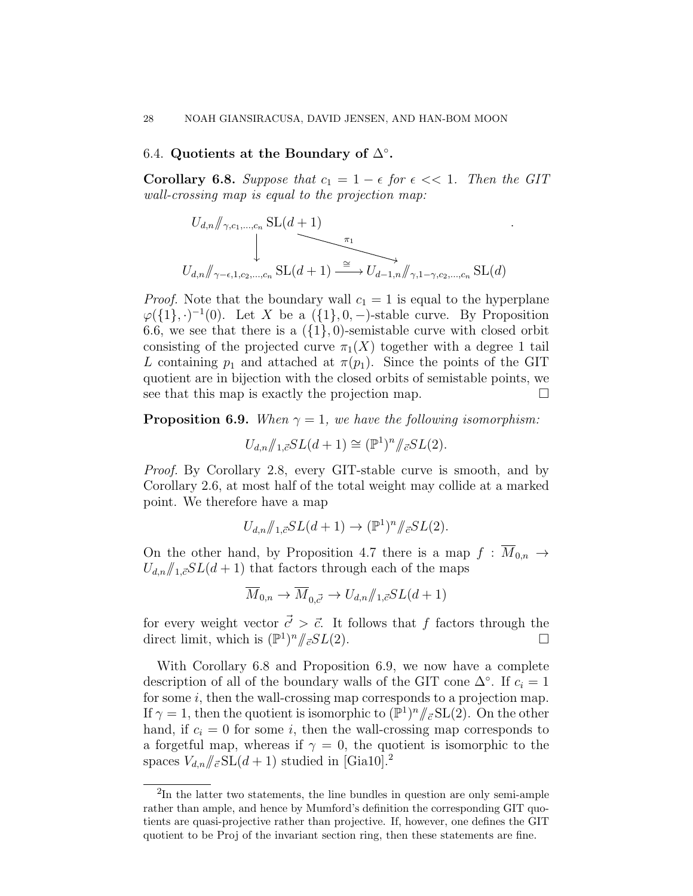# 6.4. Quotients at the Boundary of  $\Delta^{\circ}$ .

Corollary 6.8. Suppose that  $c_1 = 1 - \epsilon$  for  $\epsilon \ll 1$ . Then the GIT wall-crossing map is equal to the projection map:

.

$$
U_{d,n} \not\bigg\vert_{\gamma,c_1,\dots,c_n} \frac{\text{SL}(d+1)}{\text{SL}(d+1)} \xrightarrow{\pi_1} U_{d,n} \not\bigg\vert_{\gamma-\epsilon,1,c_2,\dots,c_n} \frac{\text{SL}(d+1)}{\text{SL}(d+1)} \xrightarrow{\cong} U_{d-1,n} \not\bigg\vert_{\gamma,1-\gamma,c_2,\dots,c_n} \frac{\text{SL}(d)}{\text{SL}(d)}
$$

*Proof.* Note that the boundary wall  $c_1 = 1$  is equal to the hyperplane  $\varphi({1},.)^{-1}(0)$ . Let X be a  $({1},0,-)$ -stable curve. By Proposition 6.6, we see that there is a  $({1}, 0)$ -semistable curve with closed orbit consisting of the projected curve  $\pi_1(X)$  together with a degree 1 tail L containing  $p_1$  and attached at  $\pi(p_1)$ . Since the points of the GIT quotient are in bijection with the closed orbits of semistable points, we see that this map is exactly the projection map.  $\Box$ 

**Proposition 6.9.** When  $\gamma = 1$ , we have the following isomorphism:

$$
U_{d,n} / \! \! /_{1,\vec{c}} SL(d+1) \cong (\mathbb{P}^1)^n / \! \! /_{\vec{c}} SL(2).
$$

Proof. By Corollary 2.8, every GIT-stable curve is smooth, and by Corollary 2.6, at most half of the total weight may collide at a marked point. We therefore have a map

$$
U_{d,n}/\!/_{1,\vec{c}} SL(d+1) \to (\mathbb{P}^1)^n/\!/_{\vec{c}} SL(2).
$$

On the other hand, by Proposition 4.7 there is a map  $f : \overline{M}_{0,n} \to$  $U_{d,n}/\sqrt{1.5}SL(d+1)$  that factors through each of the maps

$$
\overline{M}_{0,n} \to \overline{M}_{0,\vec{c'}} \to U_{d,n}/\!/_{1,\vec{c}} SL(d+1)
$$

for every weight vector  $\vec{c'} > \vec{c}$ . It follows that f factors through the direct limit, which is  $(\mathbb{P}^1)^n / \in SL(2)$ .

With Corollary 6.8 and Proposition 6.9, we now have a complete description of all of the boundary walls of the GIT cone  $\Delta^{\circ}$ . If  $c_i = 1$ for some  $i$ , then the wall-crossing map corresponds to a projection map. If  $\gamma = 1$ , then the quotient is isomorphic to  $(\mathbb{P}^1)^n / \mathbb{P}^1 \times SL(2)$ . On the other hand, if  $c_i = 0$  for some i, then the wall-crossing map corresponds to a forgetful map, whereas if  $\gamma = 0$ , the quotient is isomorphic to the spaces  $V_{d,n}/\epsilon S\text{L}(d+1)$  studied in [Gia10].<sup>2</sup>

<sup>&</sup>lt;sup>2</sup>In the latter two statements, the line bundles in question are only semi-ample rather than ample, and hence by Mumford's definition the corresponding GIT quotients are quasi-projective rather than projective. If, however, one defines the GIT quotient to be Proj of the invariant section ring, then these statements are fine.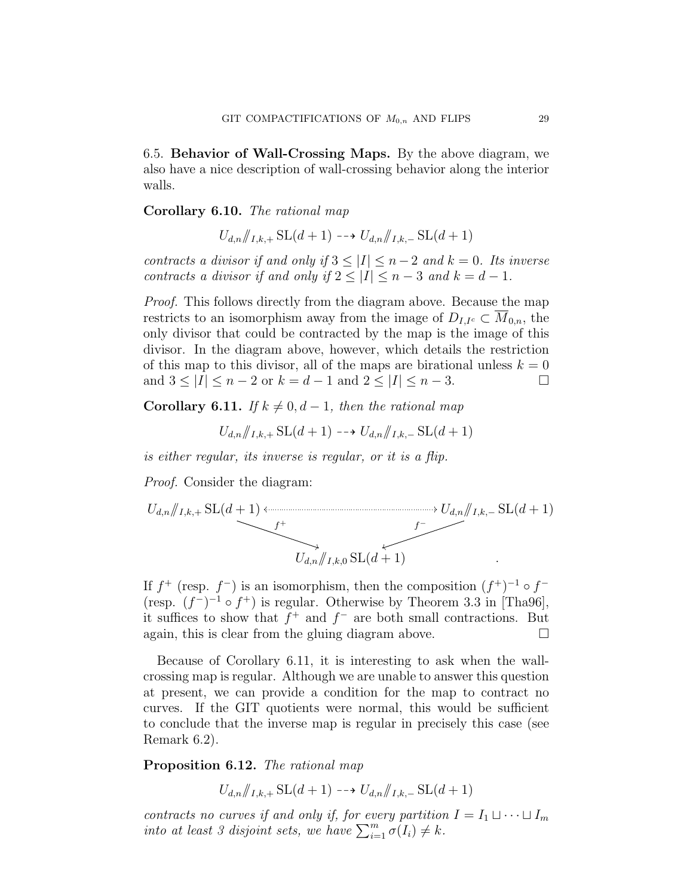6.5. Behavior of Wall-Crossing Maps. By the above diagram, we also have a nice description of wall-crossing behavior along the interior walls.

# Corollary 6.10. The rational map

$$
U_{d,n}/I_{k+}
$$
, SL $(d+1)$  --  $\rightarrow U_{d,n}/I_{k-}$ , SL $(d+1)$ 

contracts a divisor if and only if  $3 \leq |I| \leq n-2$  and  $k = 0$ . Its inverse contracts a divisor if and only if  $2 \leq |I| \leq n-3$  and  $k=d-1$ .

Proof. This follows directly from the diagram above. Because the map restricts to an isomorphism away from the image of  $D_{I,I^c} \subset M_{0,n}$ , the only divisor that could be contracted by the map is the image of this divisor. In the diagram above, however, which details the restriction of this map to this divisor, all of the maps are birational unless  $k = 0$ and  $3 \leq |I| \leq n-2$  or  $k = d-1$  and  $2 \leq |I| \leq n-3$ .

Corollary 6.11. If  $k \neq 0, d-1$ , then the rational map

$$
U_{d,n}/\!\!/_{I,k,+}
$$
  $\text{SL}(d+1) \dashrightarrow U_{d,n}/\!\!/_{I,k,-}$   $\text{SL}(d+1)$ 

is either regular, its inverse is regular, or it is a flip.

Proof. Consider the diagram:

$$
U_{d,n}/\!\!/_{I,k,+} \text{SL}(d+1) \longleftrightarrow U_{d,n}/\!\!/_{I,k,-} \text{SL}(d+1)
$$
\n
$$
U_{d,n}/\!\!/_{I,k,0} \text{SL}(d+1)
$$

If  $f^+$  (resp.  $f^-$ ) is an isomorphism, then the composition  $(f^+)^{-1} \circ f^-$ (resp.  $(f^-)^{-1} \circ f^+$ ) is regular. Otherwise by Theorem 3.3 in [Tha96], it suffices to show that  $f^+$  and  $f^-$  are both small contractions. But again, this is clear from the gluing diagram above.  $\Box$ 

Because of Corollary 6.11, it is interesting to ask when the wallcrossing map is regular. Although we are unable to answer this question at present, we can provide a condition for the map to contract no curves. If the GIT quotients were normal, this would be sufficient to conclude that the inverse map is regular in precisely this case (see Remark 6.2).

Proposition 6.12. The rational map

 $U_{d,n}/I_{Lk+1}$  SL $(d+1) \longrightarrow U_{d,n}/I_{Lk-1}$  SL $(d+1)$ 

contracts no curves if and only if, for every partition  $I = I_1 \sqcup \cdots \sqcup I_m$ into at least 3 disjoint sets, we have  $\sum_{i=1}^{m} \sigma(I_i) \neq k$ .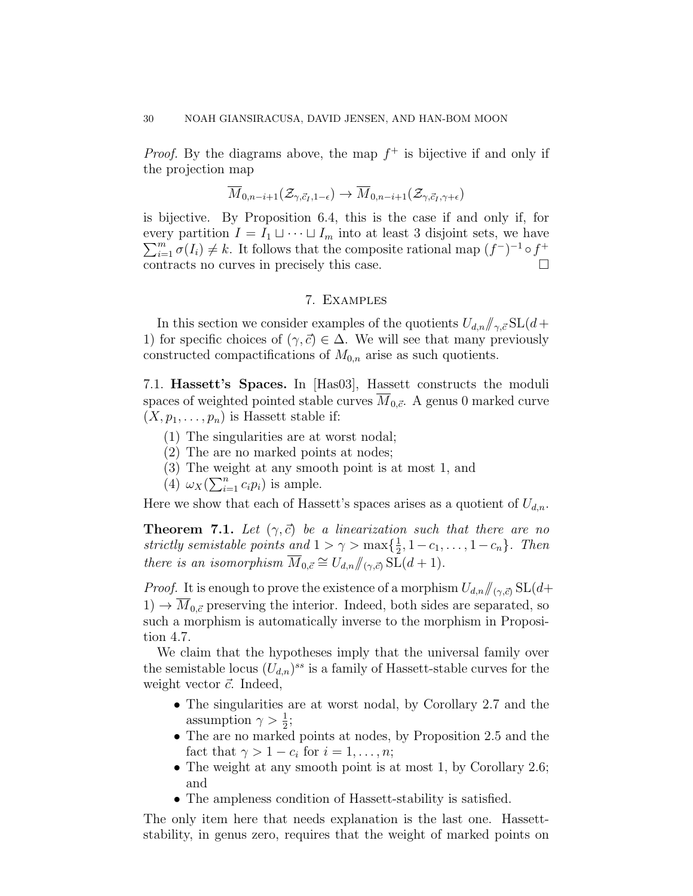*Proof.* By the diagrams above, the map  $f^+$  is bijective if and only if the projection map

$$
\overline{M}_{0,n-i+1}(\mathcal{Z}_{\gamma,\vec{c}_I,1-\epsilon}) \to \overline{M}_{0,n-i+1}(\mathcal{Z}_{\gamma,\vec{c}_I,\gamma+\epsilon})
$$

is bijective. By Proposition 6.4, this is the case if and only if, for every partition  $I = I_1 \sqcup \cdots \sqcup I_m$  into at least 3 disjoint sets, we have  $\sum_{i=1}^{m} \sigma(I_i) \neq k$ . It follows that the composite rational map  $(f^-)^{-1} \circ f^+$ contracts no curves in precisely this case.

## 7. Examples

In this section we consider examples of the quotients  $U_{d,n}/\gamma_{\alpha} \in SL(d+1)$ 1) for specific choices of  $(\gamma, \vec{c}) \in \Delta$ . We will see that many previously constructed compactifications of  $M_{0,n}$  arise as such quotients.

7.1. Hassett's Spaces. In [Has03], Hassett constructs the moduli spaces of weighted pointed stable curves  $M_{0,\vec{c}}$ . A genus 0 marked curve  $(X, p_1, \ldots, p_n)$  is Hassett stable if:

- (1) The singularities are at worst nodal;
- (2) The are no marked points at nodes;
- (3) The weight at any smooth point is at most 1, and
- (4)  $\omega_X(\sum_{i=1}^n c_i p_i)$  is ample.

Here we show that each of Hassett's spaces arises as a quotient of  $U_{d,n}$ .

**Theorem 7.1.** Let  $(\gamma, \vec{c})$  be a linearization such that there are no strictly semistable points and  $1 > \gamma > \max\{\frac{1}{2}\}$  $\frac{1}{2}, 1-c_1, \ldots, 1-c_n\}$ . Then there is an isomorphism  $\overline{M}_{0,\vec{c}} \cong U_{d,n}/\hspace{-1mm}/_{(\gamma,\vec{c})} SL(d+1).$ 

*Proof.* It is enough to prove the existence of a morphism  $U_{d,n}/(q,\vec{c})$  SL $(d+$  $1) \rightarrow M_{0,\vec{c}}$  preserving the interior. Indeed, both sides are separated, so such a morphism is automatically inverse to the morphism in Proposition 4.7.

We claim that the hypotheses imply that the universal family over the semistable locus  $(U_{d,n})^{ss}$  is a family of Hassett-stable curves for the weight vector  $\vec{c}$ . Indeed,

- The singularities are at worst nodal, by Corollary 2.7 and the assumption  $\gamma > \frac{1}{2}$ ;
- The are no marked points at nodes, by Proposition 2.5 and the fact that  $\gamma > 1 - c_i$  for  $i = 1, \ldots, n;$
- The weight at any smooth point is at most 1, by Corollary 2.6; and
- The ampleness condition of Hassett-stability is satisfied.

The only item here that needs explanation is the last one. Hassettstability, in genus zero, requires that the weight of marked points on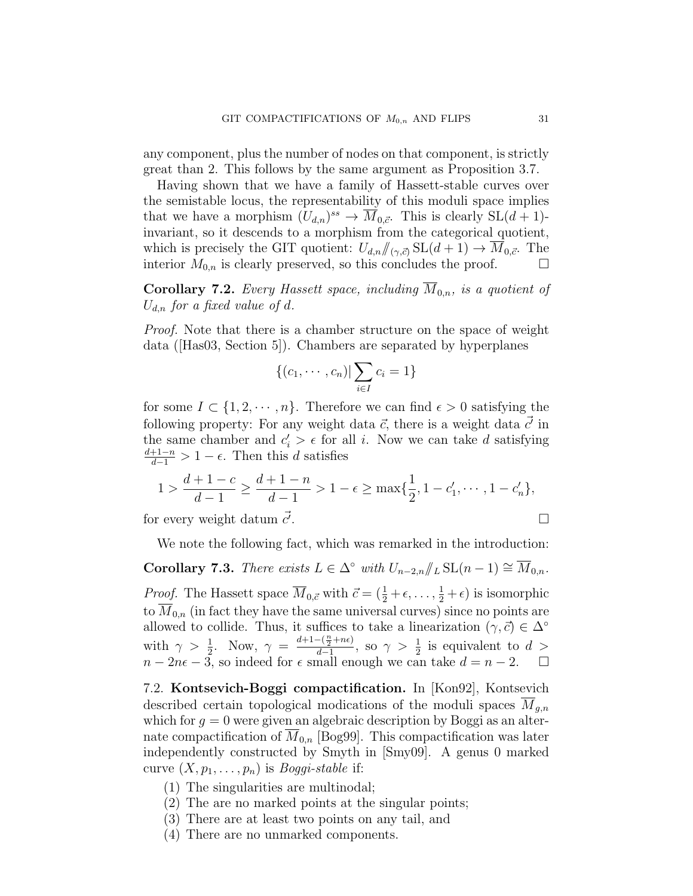any component, plus the number of nodes on that component, is strictly great than 2. This follows by the same argument as Proposition 3.7.

Having shown that we have a family of Hassett-stable curves over the semistable locus, the representability of this moduli space implies that we have a morphism  $(U_{d,n})^{ss} \to \overline{M}_{0,\vec{c}}$ . This is clearly  $SL(d+1)$ invariant, so it descends to a morphism from the categorical quotient, which is precisely the GIT quotient:  $U_{d,n}/\!\!/_{(\gamma,\vec{c})} SL(d+1) \to M_{0,\vec{c}}$ . The interior  $M_{0,n}$  is clearly preserved, so this concludes the proof.  $\Box$ 

Corollary 7.2. Every Hassett space, including  $\overline{M}_{0,n}$ , is a quotient of  $U_{d,n}$  for a fixed value of d.

Proof. Note that there is a chamber structure on the space of weight data ([Has03, Section 5]). Chambers are separated by hyperplanes

$$
\{(c_1,\cdots,c_n)|\sum_{i\in I}c_i=1\}
$$

for some  $I \subset \{1, 2, \dots, n\}$ . Therefore we can find  $\epsilon > 0$  satisfying the following property: For any weight data  $\vec{c}$ , there is a weight data  $\vec{c'}$  in the same chamber and  $c_i' > \epsilon$  for all i. Now we can take d satisfying  $\frac{d+1-n}{d-1} > 1 - \epsilon$ . Then this d satisfies

$$
1 > \frac{d+1-c}{d-1} \ge \frac{d+1-n}{d-1} > 1 - \epsilon \ge \max\{\frac{1}{2}, 1 - c'_1, \cdots, 1 - c'_n\},\
$$

for every weight datum  $\vec{c}$ . .

We note the following fact, which was remarked in the introduction:

Corollary 7.3. There exists  $L \in \Delta^{\circ}$  with  $U_{n-2,n}/\!\!/_{L} \text{SL}(n-1) \cong \overline{M}_{0,n}$ . *Proof.* The Hassett space  $\overline{M}_{0,\vec{c}}$  with  $\vec{c} = (\frac{1}{2} + \epsilon, \ldots, \frac{1}{2} + \epsilon)$  is isomorphic to  $M_{0,n}$  (in fact they have the same universal curves) since no points are allowed to collide. Thus, it suffices to take a linearization  $(\gamma, \vec{c}) \in \Delta^{\circ}$ with  $\gamma > \frac{1}{2}$ . Now,  $\gamma = \frac{d+1-(\frac{n}{2}+n\epsilon)}{d-1}$  $\frac{-(\frac{\alpha}{2}+n\epsilon)}{d-1}$ , so  $\gamma > \frac{1}{2}$  is equivalent to  $d >$  $n-2n\epsilon-3$ , so indeed for  $\epsilon$  small enough we can take  $d=n-2$ .  $\Box$ 

7.2. Kontsevich-Boggi compactification. In [Kon92], Kontsevich described certain topological modications of the moduli spaces  $M_{a,n}$ which for  $g = 0$  were given an algebraic description by Boggi as an alternate compactification of  $\overline{M}_{0,n}$  [Bog99]. This compactification was later independently constructed by Smyth in [Smy09]. A genus 0 marked curve  $(X, p_1, \ldots, p_n)$  is *Boggi-stable* if:

- (1) The singularities are multinodal;
- (2) The are no marked points at the singular points;
- (3) There are at least two points on any tail, and
- (4) There are no unmarked components.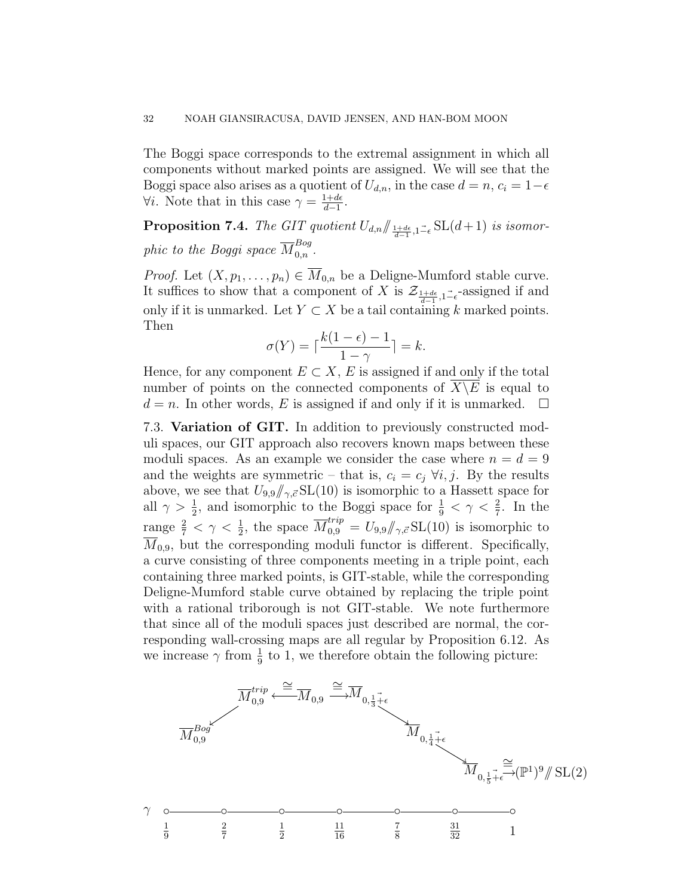The Boggi space corresponds to the extremal assignment in which all components without marked points are assigned. We will see that the Boggi space also arises as a quotient of  $U_{d,n}$ , in the case  $d = n$ ,  $c_i = 1-\epsilon$  $\forall i$ . Note that in this case  $\gamma = \frac{1+d\epsilon}{d-1}$  $\frac{1+d\epsilon}{d-1}$ .

**Proposition 7.4.** The GIT quotient  $U_{d,n} / \frac{1+d\epsilon}{d-1}, I_{-\epsilon}^{\perp} \text{SL}(d+1)$  is isomorphic to the Boggi space  $\overline{M}^{Bog}_{0,n}$ .

*Proof.* Let  $(X, p_1, \ldots, p_n) \in \overline{M}_{0,n}$  be a Deligne-Mumford stable curve. It suffices to show that a component of X is  $\mathcal{Z}_{\frac{1+d\epsilon}{d-1},1-\epsilon}$ -assigned if and only if it is unmarked. Let  $Y \subset X$  be a tail containing k marked points. Then

$$
\sigma(Y) = \lceil \frac{k(1-\epsilon) - 1}{1 - \gamma} \rceil = k.
$$

Hence, for any component  $E \subset X$ , E is assigned if and only if the total number of points on the connected components of  $\overline{X \setminus E}$  is equal to  $d = n$ . In other words, E is assigned if and only if it is unmarked.  $\Box$ 

7.3. Variation of GIT. In addition to previously constructed moduli spaces, our GIT approach also recovers known maps between these moduli spaces. As an example we consider the case where  $n = d = 9$ and the weights are symmetric – that is,  $c_i = c_j \forall i, j$ . By the results above, we see that  $U_{9,9}/\gamma c \text{SL}(10)$  is isomorphic to a Hassett space for all  $\gamma > \frac{1}{2}$ , and isomorphic to the Boggi space for  $\frac{1}{9} < \gamma < \frac{2}{7}$ . In the range  $\frac{2}{7} < \gamma < \frac{1}{2}$ , the space  $\overline{M}_{0,9}^{trip} = U_{9,9}/\gamma$ ,  $\overline{S}$  SL(10) is isomorphic to  $\overline{M}_{0.9}$ , but the corresponding moduli functor is different. Specifically, a curve consisting of three components meeting in a triple point, each containing three marked points, is GIT-stable, while the corresponding Deligne-Mumford stable curve obtained by replacing the triple point with a rational triborough is not GIT-stable. We note furthermore that since all of the moduli spaces just described are normal, the corresponding wall-crossing maps are all regular by Proposition 6.12. As we increase  $\gamma$  from  $\frac{1}{9}$  to 1, we therefore obtain the following picture:

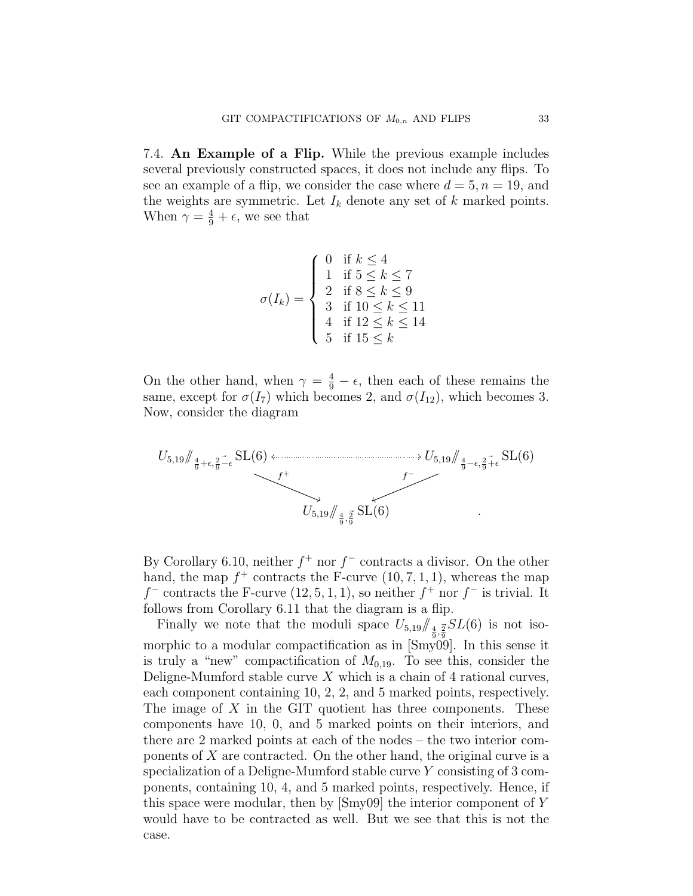7.4. An Example of a Flip. While the previous example includes several previously constructed spaces, it does not include any flips. To see an example of a flip, we consider the case where  $d = 5, n = 19$ , and the weights are symmetric. Let  $I_k$  denote any set of  $k$  marked points. When  $\gamma = \frac{4}{9} + \epsilon$ , we see that

$$
\sigma(I_k) = \begin{cases}\n0 & \text{if } k \le 4 \\
1 & \text{if } 5 \le k \le 7 \\
2 & \text{if } 8 \le k \le 9 \\
3 & \text{if } 10 \le k \le 11 \\
4 & \text{if } 12 \le k \le 14 \\
5 & \text{if } 15 \le k\n\end{cases}
$$

On the other hand, when  $\gamma = \frac{4}{9} - \epsilon$ , then each of these remains the same, except for  $\sigma(I_7)$  which becomes 2, and  $\sigma(I_{12})$ , which becomes 3. Now, consider the diagram



By Corollary 6.10, neither  $f^+$  nor  $f^-$  contracts a divisor. On the other hand, the map  $f^+$  contracts the F-curve  $(10, 7, 1, 1)$ , whereas the map  $f^-$  contracts the F-curve  $(12, 5, 1, 1)$ , so neither  $f^+$  nor  $f^-$  is trivial. It follows from Corollary 6.11 that the diagram is a flip.

Finally we note that the moduli space  $U_{5,19}/\frac{4}{9}, \frac{3}{9}SL(6)$  is not isomorphic to a modular compactification as in [Smy09]. In this sense it is truly a "new" compactification of  $M_{0,19}$ . To see this, consider the Deligne-Mumford stable curve  $X$  which is a chain of 4 rational curves, each component containing 10, 2, 2, and 5 marked points, respectively. The image of  $X$  in the GIT quotient has three components. These components have 10, 0, and 5 marked points on their interiors, and there are 2 marked points at each of the nodes – the two interior components of  $X$  are contracted. On the other hand, the original curve is a specialization of a Deligne-Mumford stable curve Y consisting of 3 components, containing 10, 4, and 5 marked points, respectively. Hence, if this space were modular, then by [Smy09] the interior component of Y would have to be contracted as well. But we see that this is not the case.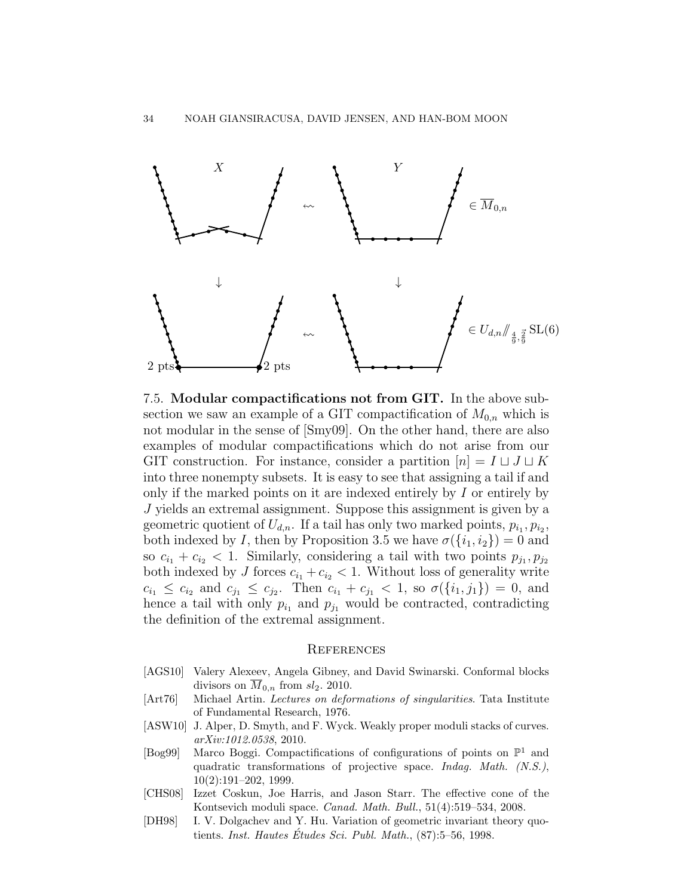

7.5. Modular compactifications not from GIT. In the above subsection we saw an example of a GIT compactification of  $M_{0,n}$  which is not modular in the sense of [Smy09]. On the other hand, there are also examples of modular compactifications which do not arise from our GIT construction. For instance, consider a partition  $[n] = I \sqcup J \sqcup K$ into three nonempty subsets. It is easy to see that assigning a tail if and only if the marked points on it are indexed entirely by  $I$  or entirely by J yields an extremal assignment. Suppose this assignment is given by a geometric quotient of  $U_{d,n}$ . If a tail has only two marked points,  $p_{i_1}, p_{i_2},$ both indexed by I, then by Proposition 3.5 we have  $\sigma({i_1, i_2}) = 0$  and so  $c_{i_1} + c_{i_2} < 1$ . Similarly, considering a tail with two points  $p_{j_1}, p_{j_2}$ both indexed by J forces  $c_{i_1} + c_{i_2} < 1$ . Without loss of generality write  $c_{i_1} \leq c_{i_2}$  and  $c_{j_1} \leq c_{j_2}$ . Then  $c_{i_1} + c_{j_1} < 1$ , so  $\sigma(\{i_1, j_1\}) = 0$ , and hence a tail with only  $p_{i_1}$  and  $p_{j_1}$  would be contracted, contradicting the definition of the extremal assignment.

#### **REFERENCES**

- [AGS10] Valery Alexeev, Angela Gibney, and David Swinarski. Conformal blocks divisors on  $\overline{M}_{0,n}$  from  $sl_2$ . 2010.
- [Art76] Michael Artin. Lectures on deformations of singularities. Tata Institute of Fundamental Research, 1976.
- [ASW10] J. Alper, D. Smyth, and F. Wyck. Weakly proper moduli stacks of curves. arXiv:1012.0538, 2010.
- [Bog99] Marco Boggi. Compactifications of configurations of points on  $\mathbb{P}^1$  and quadratic transformations of projective space. Indag. Math. (N.S.), 10(2):191–202, 1999.
- [CHS08] Izzet Coskun, Joe Harris, and Jason Starr. The effective cone of the Kontsevich moduli space. Canad. Math. Bull., 51(4):519–534, 2008.
- [DH98] I. V. Dolgachev and Y. Hu. Variation of geometric invariant theory quotients. Inst. Hautes Études Sci. Publ. Math.,  $(87):5-56, 1998$ .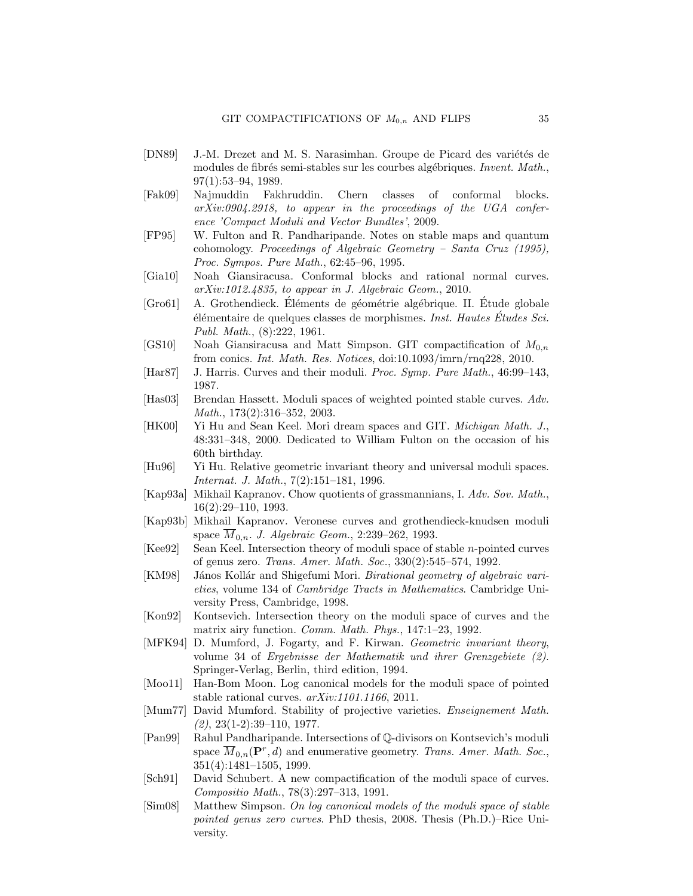- [DN89] J.-M. Drezet and M. S. Narasimhan. Groupe de Picard des variétés de modules de fibrés semi-stables sur les courbes algébriques. Invent. Math., 97(1):53–94, 1989.
- [Fak09] Najmuddin Fakhruddin. Chern classes of conformal blocks. arXiv:0904.2918, to appear in the proceedings of the UGA conference 'Compact Moduli and Vector Bundles', 2009.
- [FP95] W. Fulton and R. Pandharipande. Notes on stable maps and quantum cohomology. Proceedings of Algebraic Geometry – Santa Cruz (1995), Proc. Sympos. Pure Math., 62:45–96, 1995.
- [Gia10] Noah Giansiracusa. Conformal blocks and rational normal curves. arXiv:1012.4835, to appear in J. Algebraic Geom., 2010.
- [Gro61] A. Grothendieck. Eléments de géométrie algébrique. II. Étude globale  $e^{\frac{i}{2}}$ élémentaire de quelques classes de morphismes. Inst. Hautes Études Sci. Publ. Math., (8):222, 1961.
- [GS10] Noah Giansiracusa and Matt Simpson. GIT compactification of  $M_{0,n}$ from conics. Int. Math. Res. Notices, doi:10.1093/imrn/rnq228, 2010.
- [Har87] J. Harris. Curves and their moduli. Proc. Symp. Pure Math., 46:99–143, 1987.
- [Has03] Brendan Hassett. Moduli spaces of weighted pointed stable curves. Adv. Math., 173(2):316–352, 2003.
- [HK00] Yi Hu and Sean Keel. Mori dream spaces and GIT. Michigan Math. J., 48:331–348, 2000. Dedicated to William Fulton on the occasion of his 60th birthday.
- [Hu96] Yi Hu. Relative geometric invariant theory and universal moduli spaces. Internat. J. Math., 7(2):151–181, 1996.
- [Kap93a] Mikhail Kapranov. Chow quotients of grassmannians, I. Adv. Sov. Math., 16(2):29–110, 1993.
- [Kap93b] Mikhail Kapranov. Veronese curves and grothendieck-knudsen moduli space  $\overline{M}_{0,n}$ . J. Algebraic Geom., 2:239–262, 1993.
- [Kee92] Sean Keel. Intersection theory of moduli space of stable n-pointed curves of genus zero. Trans. Amer. Math. Soc., 330(2):545–574, 1992.
- [KM98] János Kollár and Shigefumi Mori. *Birational geometry of algebraic vari*eties, volume 134 of Cambridge Tracts in Mathematics. Cambridge University Press, Cambridge, 1998.
- [Kon92] Kontsevich. Intersection theory on the moduli space of curves and the matrix airy function. Comm. Math. Phys., 147:1-23, 1992.
- [MFK94] D. Mumford, J. Fogarty, and F. Kirwan. Geometric invariant theory, volume 34 of Ergebnisse der Mathematik und ihrer Grenzgebiete (2). Springer-Verlag, Berlin, third edition, 1994.
- [Moo11] Han-Bom Moon. Log canonical models for the moduli space of pointed stable rational curves. arXiv:1101.1166, 2011.
- [Mum77] David Mumford. Stability of projective varieties. Enseignement Math.  $(2), 23(1-2):39-110, 1977.$
- [Pan99] Rahul Pandharipande. Intersections of Q-divisors on Kontsevich's moduli space  $\overline{M}_{0,n}(\mathbf{P}^r,d)$  and enumerative geometry. Trans. Amer. Math. Soc., 351(4):1481–1505, 1999.
- [Sch91] David Schubert. A new compactification of the moduli space of curves. Compositio Math., 78(3):297–313, 1991.
- [Sim08] Matthew Simpson. On log canonical models of the moduli space of stable pointed genus zero curves. PhD thesis, 2008. Thesis (Ph.D.)–Rice University.